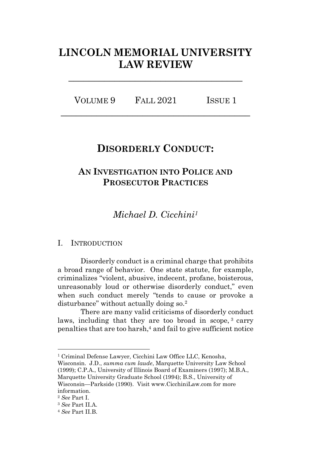# **LINCOLN MEMORIAL UNIVERSITY LAW REVIEW**

**\_\_\_\_\_\_\_\_\_\_\_\_\_\_\_\_\_\_\_\_\_\_\_\_\_\_\_\_\_\_\_\_\_\_**

| VOLUME 9 | <b>FALL 2021</b> | ISSUE 1 |
|----------|------------------|---------|
|          |                  |         |

## **DISORDERLY CONDUCT:**

## **AN INVESTIGATION INTO POLICE AND PROSECUTOR PRACTICES**

*Michael D. Cicchini<sup>1</sup>*

## I. INTRODUCTION

Disorderly conduct is a criminal charge that prohibits a broad range of behavior. One state statute, for example, criminalizes "violent, abusive, indecent, profane, boisterous, unreasonably loud or otherwise disorderly conduct," even when such conduct merely "tends to cause or provoke a disturbance" without actually doing so.<sup>2</sup>

There are many valid criticisms of disorderly conduct laws, including that they are too broad in scope,<sup>3</sup> carry penalties that are too harsh,<sup>4</sup> and fail to give sufficient notice

Wisconsin. J.D., *summa cum laude*, Marquette University Law School (1999); C.P.A., University of Illinois Board of Examiners (1997); M.B.A., Marquette University Graduate School (1994); B.S., University of Wisconsin—Parkside (1990). Visit www.CicchiniLaw.com for more information.

<sup>1</sup> Criminal Defense Lawyer, Cicchini Law Office LLC, Kenosha,

<sup>2</sup> *See* Part I.

<sup>3</sup> *See* Part II.A.

<sup>4</sup> *See* Part II.B.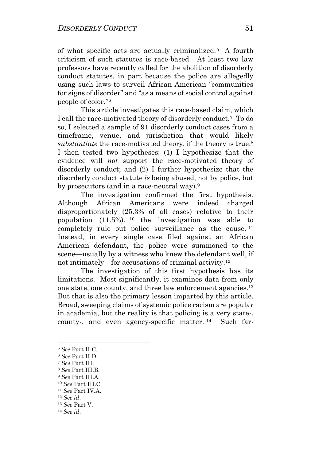of what specific acts are actually criminalized. 5 A fourth criticism of such statutes is race-based. At least two law professors have recently called for the abolition of disorderly conduct statutes, in part because the police are allegedly using such laws to surveil African American "communities for signs of disorder" and "as a means of social control against people of color."<sup>6</sup>

This article investigates this race-based claim, which I call the race-motivated theory of disorderly conduct.<sup>7</sup> To do so, I selected a sample of 91 disorderly conduct cases from a timeframe, venue, and jurisdiction that would likely *substantiate* the race-motivated theory, if the theory is true.<sup>8</sup> I then tested two hypotheses: (1) I hypothesize that the evidence will *not* support the race-motivated theory of disorderly conduct; and (2) I further hypothesize that the disorderly conduct statute *is* being abused, not by police, but by prosecutors (and in a race-neutral way).<sup>9</sup>

The investigation confirmed the first hypothesis. Although African Americans were indeed charged disproportionately (25.3% of all cases) relative to their population (11.5%), <sup>10</sup> the investigation was able to completely rule out police surveillance as the cause. <sup>11</sup> Instead, in every single case filed against an African American defendant, the police were summoned to the scene—usually by a witness who knew the defendant well, if not intimately—for accusations of criminal activity.<sup>12</sup>

The investigation of this first hypothesis has its limitations. Most significantly, it examines data from only one state, one county, and three law enforcement agencies. 13 But that is also the primary lesson imparted by this article. Broad, sweeping claims of systemic police racism are popular in academia, but the reality is that policing is a very state-, county-, and even agency-specific matter. <sup>14</sup> Such far-

<sup>5</sup> *See* Part II.C.

<sup>6</sup> *See* Part II.D.

<sup>7</sup> *See* Part III.

<sup>8</sup> *See* Part III.B.

<sup>9</sup> *See* Part III.A.

<sup>10</sup> *See* Part III.C.

<sup>11</sup> *See* Part IV.A.

<sup>12</sup> *See id*.

<sup>13</sup> *See* Part V.

<sup>14</sup> *See id*.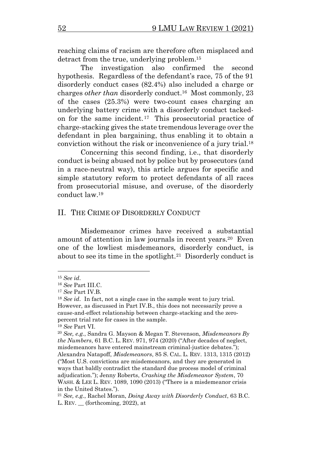reaching claims of racism are therefore often misplaced and detract from the true, underlying problem.<sup>15</sup>

The investigation also confirmed the second hypothesis. Regardless of the defendant's race, 75 of the 91 disorderly conduct cases (82.4%) also included a charge or charges *other than* disorderly conduct.<sup>16</sup> Most commonly, 23 of the cases (25.3%) were two-count cases charging an underlying battery crime with a disorderly conduct tackedon for the same incident.<sup>17</sup> This prosecutorial practice of charge-stacking gives the state tremendous leverage over the defendant in plea bargaining, thus enabling it to obtain a conviction without the risk or inconvenience of a jury trial.<sup>18</sup>

Concerning this second finding, i.e., that disorderly conduct is being abused not by police but by prosecutors (and in a race-neutral way), this article argues for specific and simple statutory reform to protect defendants of all races from prosecutorial misuse, and overuse, of the disorderly conduct law. 19

#### II. THE CRIME OF DISORDERLY CONDUCT

Misdemeanor crimes have received a substantial amount of attention in law journals in recent years.<sup>20</sup> Even one of the lowliest misdemeanors, disorderly conduct, is about to see its time in the spotlight.<sup>21</sup> Disorderly conduct is

<span id="page-2-0"></span><sup>15</sup> *See id*.

<sup>16</sup> *See* Part III.C.

<sup>17</sup> *See* Part IV.B.

<sup>18</sup> *See id*. In fact, not a single case in the sample went to jury trial. However, as discussed in Part IV.B., this does not necessarily prove a cause-and-effect relationship between charge-stacking and the zeropercent trial rate for cases in the sample.

<sup>19</sup> *See* Part VI.

<sup>20</sup> *See, e.g.*, Sandra G. Mayson & Megan T. Stevenson, *Misdemeanors By the Numbers*, 61 B.C. L. REV. 971, 974 (2020) ("After decades of neglect, misdemeanors have entered mainstream criminal-justice debates."); Alexandra Natapoff, *Misdemeanors*, 85 S. CAL. L. REV. 1313, 1315 (2012) ("Most U.S. convictions are misdemeanors, and they are generated in ways that baldly contradict the standard due process model of criminal adjudication."); Jenny Roberts, *Crashing the Misdemeanor System*, 70 WASH. & LEE L. REV. 1089, 1090 (2013) ("There is a misdemeanor crisis in the United States.").

<sup>21</sup> *See, e.g.*, Rachel Moran, *Doing Away with Disorderly Conduct*, 63 B.C. L. REV. \_\_ (forthcoming, 2022), at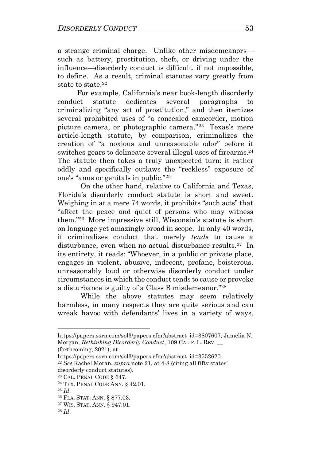a strange criminal charge. Unlike other misdemeanors such as battery, prostitution, theft, or driving under the influence—disorderly conduct is difficult, if not impossible, to define. As a result, criminal statutes vary greatly from state to state.<sup>22</sup>

 For example, California's near book-length disorderly conduct statute dedicates several paragraphs to criminalizing "any act of prostitution," and then itemizes several prohibited uses of "a concealed camcorder, motion picture camera, or photographic camera." 23 Texas's mere article-length statute, by comparison, criminalizes the creation of "a noxious and unreasonable odor" before it switches gears to delineate several illegal uses of firearms.<sup>24</sup> The statute then takes a truly unexpected turn: it rather oddly and specifically outlaws the "reckless" exposure of one's "anus or genitals in public."<sup>25</sup>

On the other hand, relative to California and Texas, Florida's disorderly conduct statute is short and sweet. Weighing in at a mere 74 words, it prohibits "such acts" that "affect the peace and quiet of persons who may witness them."<sup>26</sup> More impressive still, Wisconsin's statute is short on language yet amazingly broad in scope. In only 40 words, it criminalizes conduct that merely *tends* to cause a disturbance, even when no actual disturbance results. 27 In its entirety, it reads: "Whoever, in a public or private place, engages in violent, abusive, indecent, profane, boisterous, unreasonably loud or otherwise disorderly conduct under circumstances in which the conduct tends to cause or provoke a disturbance is guilty of a Class B misdemeanor." 28

While the above statutes may seem relatively harmless, in many respects they are quite serious and can wreak havoc with defendants' lives in a variety of ways.

(forthcoming, 2021), at

https://papers.ssrn.com/sol3/papers.cfm?abstract\_id=3807607; Jamelia N. Morgan, *Rethinking Disorderly Conduct*, 109 CALIF. L. REV. \_\_

https://papers.ssrn.com/sol3/papers.cfm?abstract\_id=3552620.

<sup>22</sup> *See* Rachel Moran, *supra* note [21,](#page-2-0) at 4-8 (citing all fifty states' disorderly conduct statutes).

<sup>23</sup> CAL. PENAL CODE § 647.

<sup>24</sup> TEX. PENAL CODE ANN. § 42.01.

<sup>25</sup> *Id*.

<sup>26</sup> FLA. STAT. ANN. § 877.03.

<sup>27</sup> WIS. STAT. ANN. § 947.01.

<sup>28</sup> *Id*.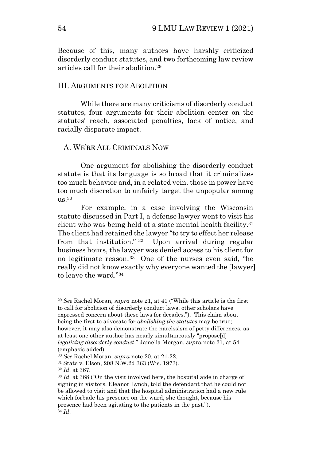Because of this, many authors have harshly criticized disorderly conduct statutes, and two forthcoming law review articles call for their abolition.<sup>29</sup>

#### III. ARGUMENTS FOR ABOLITION

While there are many criticisms of disorderly conduct statutes, four arguments for their abolition center on the statutes' reach, associated penalties, lack of notice, and racially disparate impact.

#### A. WE'RE ALL CRIMINALS NOW

One argument for abolishing the disorderly conduct statute is that its language is so broad that it criminalizes too much behavior and, in a related vein, those in power have too much discretion to unfairly target the unpopular among  $us.^{30}$ 

For example, in a case involving the Wisconsin statute discussed in Part I, a defense lawyer went to visit his client who was being held at a state mental health facility.<sup>31</sup> The client had retained the lawyer "to try to effect her release from that institution." <sup>32</sup> Upon arrival during regular business hours, the lawyer was denied access to his client for no legitimate reason. <sup>33</sup> One of the nurses even said, "he really did not know exactly why everyone wanted the [lawyer] to leave the ward."<sup>34</sup>

<sup>29</sup> *See* Rachel Moran, *supra* note [21](#page-2-0), at 41 ("While this article is the first to call for abolition of disorderly conduct laws, other scholars have expressed concern about these laws for decades."). This claim about being the first to advocate for *abolishing the statutes* may be true; however, it may also demonstrate the narcissism of petty differences, as at least one other author has nearly simultaneously "propose[d] *legalizing disorderly conduct*." Jamelia Morgan, *supra* note [21,](#page-2-0) at 54 (emphasis added).

<sup>30</sup> *See* Rachel Moran, *supra* note 20, at 21-22.

<sup>31</sup> State v. Elson, 208 N.W.2d 363 (Wis. 1973).

<sup>32</sup> *Id*. at 367.

<sup>33</sup> *Id*. at 368 ("On the visit involved here, the hospital aide in charge of signing in visitors, Eleanor Lynch, told the defendant that he could not be allowed to visit and that the hospital administration had a new rule which forbade his presence on the ward, she thought, because his presence had been agitating to the patients in the past."). <sup>34</sup> *Id*.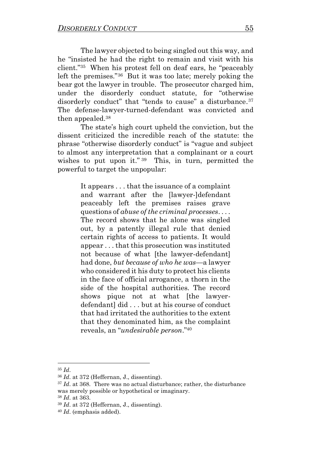The lawyer objected to being singled out this way, and he "insisted he had the right to remain and visit with his client."<sup>35</sup> When his protest fell on deaf ears, he "peaceably left the premises."<sup>36</sup> But it was too late; merely poking the bear got the lawyer in trouble. The prosecutor charged him, under the disorderly conduct statute, for "otherwise disorderly conduct" that "tends to cause" a disturbance.<sup>37</sup> The defense-lawyer-turned-defendant was convicted and then appealed.<sup>38</sup>

The state's high court upheld the conviction, but the dissent criticized the incredible reach of the statute: the phrase "otherwise disorderly conduct" is "vague and subject to almost any interpretation that a complainant or a court wishes to put upon it."<sup>39</sup> This, in turn, permitted the powerful to target the unpopular:

> It appears . . . that the issuance of a complaint and warrant after the [lawyer-]defendant peaceably left the premises raises grave questions of *abuse of the criminal processes*. . . . The record shows that he alone was singled out, by a patently illegal rule that denied certain rights of access to patients. It would appear . . . that this prosecution was instituted not because of what [the lawyer-defendant] had done, *but because of who he was*—a lawyer who considered it his duty to protect his clients in the face of official arrogance, a thorn in the side of the hospital authorities. The record shows pique not at what [the lawyerdefendant] did . . . but at his course of conduct that had irritated the authorities to the extent that they denominated him, as the complaint reveals, an "*undesirable person*."<sup>40</sup>

<sup>35</sup> *Id*.

<sup>36</sup> *Id*. at 372 (Heffernan, J., dissenting).

<sup>37</sup> *Id*. at 368. There was no actual disturbance; rather, the disturbance was merely possible or hypothetical or imaginary.

<sup>38</sup> *Id*. at 363.

<sup>39</sup> *Id*. at 372 (Heffernan, J., dissenting).

<sup>40</sup> *Id*. (emphasis added).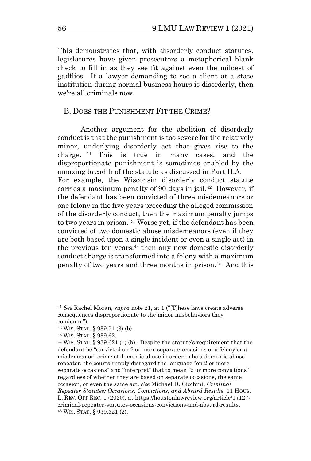This demonstrates that, with disorderly conduct statutes, legislatures have given prosecutors a metaphorical blank check to fill in as they see fit against even the mildest of gadflies. If a lawyer demanding to see a client at a state institution during normal business hours is disorderly, then we're all criminals now.

## B. DOES THE PUNISHMENT FIT THE CRIME?

Another argument for the abolition of disorderly conduct is that the punishment is too severe for the relatively minor, underlying disorderly act that gives rise to the charge. <sup>41</sup> This is true in many cases, and the disproportionate punishment is sometimes enabled by the amazing breadth of the statute as discussed in Part II.A. For example, the Wisconsin disorderly conduct statute carries a maximum penalty of 90 days in jail.<sup>42</sup> However, if the defendant has been convicted of three misdemeanors or one felony in the five years preceding the alleged commission of the disorderly conduct, then the maximum penalty jumps to two years in prison.<sup>43</sup> Worse yet, if the defendant has been convicted of two domestic abuse misdemeanors (even if they are both based upon a single incident or even a single act) in the previous ten years, $44$  then any new domestic disorderly conduct charge is transformed into a felony with a maximum penalty of two years and three months in prison.<sup>45</sup> And this

<span id="page-6-0"></span><sup>41</sup> *See* Rachel Moran, *supra* note [21](#page-2-0), at 1 ("[T]hese laws create adverse consequences disproportionate to the minor misbehaviors they condemn.").

<sup>42</sup> WIS. STAT. § 939.51 (3) (b).

<sup>43</sup> WIS. STAT. § 939.62.

<sup>44</sup> WIS. STAT. § 939.621 (1) (b). Despite the statute's requirement that the defendant be "convicted on 2 or more separate occasions of a felony or a misdemeanor" crime of domestic abuse in order to be a domestic abuse repeater, the courts simply disregard the language "on 2 or more separate occasions" and "interpret" that to mean "2 or more convictions" regardless of whether they are based on separate occasions, the same occasion, or even the same act. *See* Michael D. Cicchini, *Criminal Repeater Statutes: Occasions, Convictions, and Absurd Results*, 11 HOUS. L. REV. OFF REC. 1 (2020), at https://houstonlawreview.org/article/17127 criminal-repeater-statutes-occasions-convictions-and-absurd-results. <sup>45</sup> WIS. STAT. § 939.621 (2).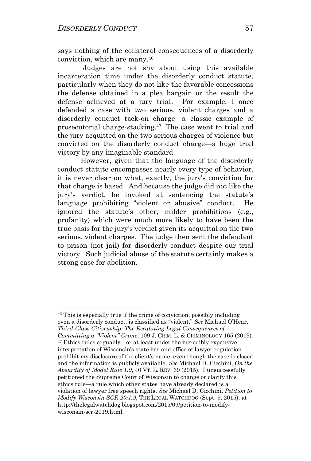says nothing of the collateral consequences of a disorderly conviction, which are many. 46

 Judges are not shy about using this available incarceration time under the disorderly conduct statute, particularly when they do not like the favorable concessions the defense obtained in a plea bargain or the result the defense achieved at a jury trial. For example, I once defended a case with two serious, violent charges and a disorderly conduct tack-on charge—a classic example of prosecutorial charge-stacking.<sup>47</sup> The case went to trial and the jury acquitted on the two serious charges of violence but convicted on the disorderly conduct charge—a huge trial victory by any imaginable standard.

<span id="page-7-0"></span>However, given that the language of the disorderly conduct statute encompasses nearly every type of behavior, it is never clear on what, exactly, the jury's conviction for that charge is based. And because the judge did not like the jury's verdict, he invoked at sentencing the statute's language prohibiting "violent or abusive" conduct. He ignored the statute's other, milder prohibitions (e.g., profanity) which were much more likely to have been the true basis for the jury's verdict given its acquittal on the two serious, violent charges. The judge then sent the defendant to prison (not jail) for disorderly conduct despite our trial victory. Such judicial abuse of the statute certainly makes a strong case for abolition.

<sup>46</sup> This is especially true if the crime of conviction, possibly including even a disorderly conduct, is classified as "violent." *See* Michael O'Hear, *Third-Class Citizenship: The Escalating Legal Consequences of Committing a "Violent" Crime*, 109 J. CRIM. L. & CRIMINOLOGY 165 (2019). <sup>47</sup> Ethics rules arguably—or at least under the incredibly expansive interpretation of Wisconsin's state bar and office of lawyer regulation prohibit my disclosure of the client's name, even though the case is closed and the information is publicly available. *See* Michael D. Cicchini, *On the Absurdity of Model Rule 1.9*, 40 VT. L. REV. 69 (2015). I unsuccessfully petitioned the Supreme Court of Wisconsin to change or clarify this ethics rule—a rule which other states have already declared is a violation of lawyer free speech rights. *See* Michael D. Cicchini, *Petition to Modify Wisconsin SCR 20:1.9*, THE LEGAL WATCHDOG (Sept. 9, 2015), at http://thelegalwatchdog.blogspot.com/2015/09/petition-to-modifywisconsin-scr-2019.html.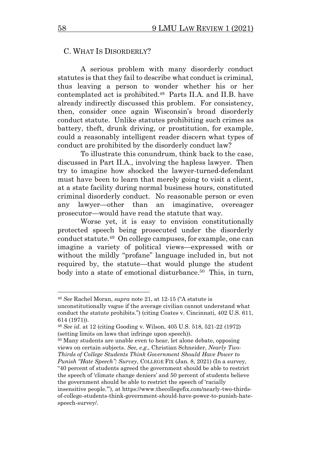#### C. WHAT IS DISORDERLY?

A serious problem with many disorderly conduct statutes is that they fail to describe what conduct is criminal, thus leaving a person to wonder whether his or her contemplated act is prohibited. 48 Parts II.A. and II.B. have already indirectly discussed this problem. For consistency, then, consider once again Wisconsin's broad disorderly conduct statute. Unlike statutes prohibiting such crimes as battery, theft, drunk driving, or prostitution, for example, could a reasonably intelligent reader discern what types of conduct are prohibited by the disorderly conduct law?

To illustrate this conundrum, think back to the case, discussed in Part II.A., involving the hapless lawyer. Then try to imagine how shocked the lawyer-turned-defendant must have been to learn that merely going to visit a client, at a state facility during normal business hours, constituted criminal disorderly conduct. No reasonable person or even any lawyer—other than an imaginative, overeager prosecutor—would have read the statute that way.

Worse yet, it is easy to envision constitutionally protected speech being prosecuted under the disorderly conduct statute. 49 On college campuses, for example, one can imagine a variety of political views—expressed with or without the mildly "profane" language included in, but not required by, the statute—that would plunge the student body into a state of emotional disturbance. 50 This, in turn,

<sup>50</sup> Many students are unable even to hear, let alone debate, opposing views on certain subjects. *See, e.g.,* Christian Schneider, *Nearly Two-Thirds of College Students Think Government Should Have Power to* 

*Punish "Hate Speech": Survey*, COLLEGE FIX (Jan. 8, 2021) (In a survey, "40 percent of students agreed the government should be able to restrict the speech of 'climate change deniers' and 50 percent of students believe the government should be able to restrict the speech of 'racially

<sup>48</sup> *See* Rachel Moran, *supra* note [21,](#page-2-0) at 12-15 ("A statute is

unconstitutionally vague if the average civilian cannot understand what conduct the statute prohibits.") (citing Coates v. Cincinnati, 402 U.S. 611, 614 (1971)).

<sup>49</sup> *See id*. at 12 (citing Gooding v. Wilson, 405 U.S. 518, 521-22 (1972) (setting limits on laws that infringe upon speech)).

insensitive people.'"), at https://www.thecollegefix.com/nearly-two-thirdsof-college-students-think-government-should-have-power-to-punish-hatespeech-survey/.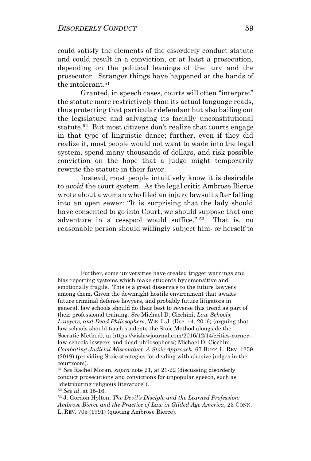could satisfy the elements of the disorderly conduct statute and could result in a conviction, or at least a prosecution, depending on the political leanings of the jury and the prosecutor. Stranger things have happened at the hands of the intolerant.<sup>51</sup>

Granted, in speech cases, courts will often "interpret" the statute more restrictively than its actual language reads, thus protecting that particular defendant but also bailing out the legislature and salvaging its facially unconstitutional statute. 52 But most citizens don't realize that courts engage in that type of linguistic dance; further, even if they did realize it, most people would not want to wade into the legal system, spend many thousands of dollars, and risk possible conviction on the hope that a judge might temporarily rewrite the statute in their favor.

Instead, most people intuitively know it is desirable to *avoid* the court system. As the legal critic Ambrose Bierce wrote about a woman who filed an injury lawsuit after falling into an open sewer: "It is surprising that the lady should have consented to go into Court; we should suppose that one adventure in a cesspool would suffice." 53 That is, no reasonable person should willingly subject him- or herself to

Further, some universities have created trigger warnings and bias reporting systems which make students hypersensitive and emotionally fragile. This is a great disservice to the future lawyers among them. Given the downright hostile environment that awaits future criminal defense lawyers, and probably future litigators in general, law schools should do their best to reverse this trend as part of their professional training. *See* Michael D. Cicchini, *Law Schools, Lawyers, and Dead Philosophers*, WIS. L.J. (Dec. 14, 2016) (arguing that law schools should teach students the Stoic Method alongside the Socratic Method), at https://wislawjournal.com/2016/12/14/critics-cornerlaw-schools-lawyers-and-dead-philosophers/; Michael D. Cicchini, *Combating Judicial Misconduct: A Stoic Approach*, 67 BUFF. L. REV. 1259 (2019) (providing Stoic strategies for dealing with abusive judges in the courtroom).

<sup>51</sup> *See* Rachel Moran, *supra* note [21,](#page-2-0) at 21-22 (discussing disorderly conduct prosecutions and convictions for unpopular speech, such as "distributing religious literature").

<sup>52</sup> *See id*. at 15-16.

<sup>53</sup> J. Gordon Hylton, *The Devil's Disciple and the Learned Profession: Ambrose Bierce and the Practice of Law in Gilded Age America*, 23 CONN. L. REV. 705 (1991) (quoting Ambrose Bierce).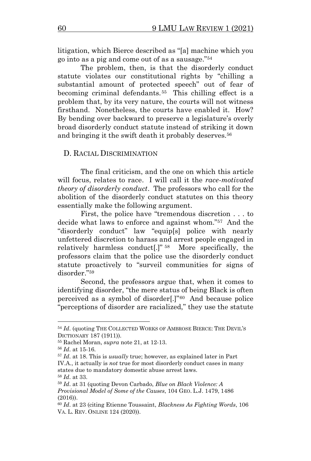litigation, which Bierce described as "[a] machine which you go into as a pig and come out of as a sausage."<sup>54</sup>

The problem, then, is that the disorderly conduct statute violates our constitutional rights by "chilling a substantial amount of protected speech" out of fear of becoming criminal defendants. 55 This chilling effect is a problem that, by its very nature, the courts will not witness firsthand. Nonetheless, the courts have enabled it. How? By bending over backward to preserve a legislature's overly broad disorderly conduct statute instead of striking it down and bringing it the swift death it probably deserves. 56

#### D. RACIAL DISCRIMINATION

The final criticism, and the one on which this article will focus, relates to race. I will call it the *race-motivated theory of disorderly conduct*. The professors who call for the abolition of the disorderly conduct statutes on this theory essentially make the following argument.

First, the police have "tremendous discretion . . . to decide what laws to enforce and against whom."<sup>57</sup> And the "disorderly conduct" law "equip[s] police with nearly unfettered discretion to harass and arrest people engaged in relatively harmless conduct[.]" <sup>58</sup> More specifically, the professors claim that the police use the disorderly conduct statute proactively to "surveil communities for signs of disorder." 59

Second, the professors argue that, when it comes to identifying disorder, "the mere status of being Black is often perceived as a symbol of disorder[.]"<sup>60</sup> And because police "perceptions of disorder are racialized," they use the statute

<sup>&</sup>lt;sup>54</sup> *Id.* (quoting THE COLLECTED WORKS OF AMBROSE BIERCE: THE DEVIL'S DICTIONARY 187 (1911)).

<sup>55</sup> Rachel Moran, *supra* note [21,](#page-2-0) at 12-13.

<sup>56</sup> *Id*. at 15-16.

<sup>57</sup> *Id*. at 18. This is *usually* true; however, as explained later in Part IV.A., it actually is *not* true for most disorderly conduct cases in many states due to mandatory domestic abuse arrest laws. <sup>58</sup> *Id*. at 33.

<sup>59</sup> *Id*. at 31 (quoting Devon Carbado, *Blue on Black Violence: A Provisional Model of Some of the Causes*, 104 GEO. L.J. 1479, 1486 (2016)).

<sup>60</sup> *Id*. at 23 (citing Etienne Toussaint, *Blackness As Fighting Words*, 106 VA. L. REV. ONLINE 124 (2020)).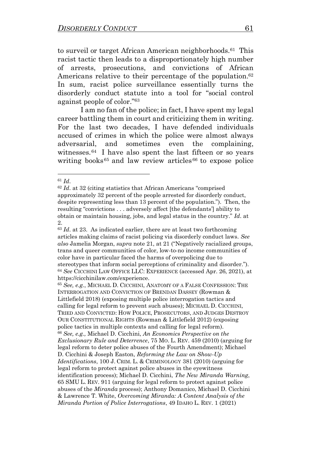to surveil or target African American neighborhoods.<sup>61</sup> This racist tactic then leads to a disproportionately high number of arrests, prosecutions, and convictions of African Americans relative to their percentage of the population. 62 In sum, racist police surveillance essentially turns the disorderly conduct statute into a tool for "social control against people of color."<sup>63</sup>

I am no fan of the police; in fact, I have spent my legal career battling them in court and criticizing them in writing. For the last two decades, I have defended individuals accused of crimes in which the police were almost always adversarial, and sometimes even the complaining, witnesses.<sup>64</sup> I have also spent the last fifteen or so years writing books<sup>65</sup> and law review articles  $66$  to expose police

 $63$  *Id.* at 23. As indicated earlier, there are at least two forthcoming articles making claims of racist policing via disorderly conduct laws. *See also* Jamelia Morgan, *supra* note [21](#page-2-0), at 21 ("Negatively racialized groups, trans and queer communities of color, low-to-no income communities of color have in particular faced the harms of overpolicing due to stereotypes that inform social perceptions of criminality and disorder."). <sup>64</sup> *See* CICCHINI LAW OFFICE LLC: EXPERIENCE (accessed Apr. 26, 2021), at https://cicchinilaw.com/experience.

<sup>65</sup> *See, e.g.*, MICHAEL D. CICCHINI, ANATOMY OF A FALSE CONFESSION: THE INTERROGATION AND CONVICTION OF BRENDAN DASSEY (Rowman & Littlefield 2018) (exposing multiple police interrogation tactics and calling for legal reform to prevent such abuses); MICHAEL D. CICCHINI, TRIED AND CONVICTED: HOW POLICE, PROSECUTORS, AND JUDGES DESTROY OUR CONSTITUTIONAL RIGHTS (Rowman & Littlefield 2012) (exposing police tactics in multiple contexts and calling for legal reform). <sup>66</sup> *See, e.g.,* Michael D. Cicchini, *An Economics Perspective on the Exclusionary Rule and Deterrence*, 75 MO. L. REV. 459 (2010) (arguing for legal reform to deter police abuses of the Fourth Amendment); Michael D. Cicchini & Joseph Easton, *Reforming the Law on Show-Up Identifications*, 100 J. CRIM. L. & CRIMINOLOGY 381 (2010) (arguing for legal reform to protect against police abuses in the eyewitness identification process); Michael D. Cicchini, *The New Miranda Warning*, 65 SMU L. REV. 911 (arguing for legal reform to protect against police abuses of the *Miranda* process); Anthony Domanico, Michael D. Cicchini & Lawrence T. White, *Overcoming Miranda: A Content Analysis of the Miranda Portion of Police Interrogations*, 49 IDAHO L. REV. 1 (2021)

<sup>61</sup> *Id*.

<sup>62</sup> *Id*. at 32 (citing statistics that African Americans "comprised approximately 32 percent of the people arrested for disorderly conduct, despite representing less than 13 percent of the population."). Then, the resulting "convictions . . . adversely affect [the defendants'] ability to obtain or maintain housing, jobs, and legal status in the country." *Id*. at 2.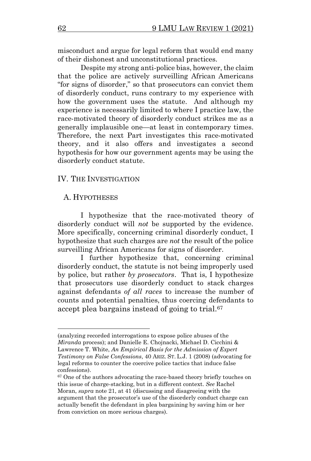misconduct and argue for legal reform that would end many of their dishonest and unconstitutional practices.

Despite my strong anti-police bias, however, the claim that the police are actively surveilling African Americans "for signs of disorder," so that prosecutors can convict them of disorderly conduct, runs contrary to my experience with how the government uses the statute. And although my experience is necessarily limited to where I practice law, the race-motivated theory of disorderly conduct strikes me as a generally implausible one—at least in contemporary times. Therefore, the next Part investigates this race-motivated theory, and it also offers and investigates a second hypothesis for how our government agents may be using the disorderly conduct statute.

## IV. THE INVESTIGATION

#### A. HYPOTHESES

I hypothesize that the race-motivated theory of disorderly conduct will *not* be supported by the evidence. More specifically, concerning criminal disorderly conduct, I hypothesize that such charges are *not* the result of the police surveilling African Americans for signs of disorder.

I further hypothesize that, concerning criminal disorderly conduct, the statute is not being improperly used by police, but rather *by prosecutors*. That is, I hypothesize that prosecutors use disorderly conduct to stack charges against defendants *of all races* to increase the number of counts and potential penalties, thus coercing defendants to accept plea bargains instead of going to trial. 67

<sup>(</sup>analyzing recorded interrogations to expose police abuses of the *Miranda* process); and Danielle E. Chojnacki, Michael D. Cicchini & Lawrence T. White, *An Empirical Basis for the Admission of Expert Testimony on False Confessions*, 40 ARIZ. ST. L.J. 1 (2008) (advocating for legal reforms to counter the coercive police tactics that induce false confessions).

<sup>&</sup>lt;sup>67</sup> One of the authors advocating the race-based theory briefly touches on this issue of charge-stacking, but in a different context. *See* Rachel Moran, *supra* not[e 21,](#page-2-0) at 41 (discussing and disagreeing with the argument that the prosecutor's use of the disorderly conduct charge can actually benefit the defendant in plea bargaining by saving him or her from conviction on more serious charges).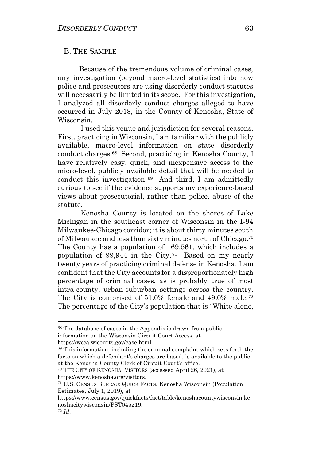#### B. THE SAMPLE

 Because of the tremendous volume of criminal cases, any investigation (beyond macro-level statistics) into how police and prosecutors are using disorderly conduct statutes will necessarily be limited in its scope. For this investigation, I analyzed all disorderly conduct charges alleged to have occurred in July 2018, in the County of Kenosha, State of Wisconsin.

I used this venue and jurisdiction for several reasons. First, practicing in Wisconsin, I am familiar with the publicly available, macro-level information on state disorderly conduct charges.<sup>68</sup> Second, practicing in Kenosha County, I have relatively easy, quick, and inexpensive access to the micro-level, publicly available detail that will be needed to conduct this investigation. 69 And third, I am admittedly curious to see if the evidence supports my experience-based views about prosecutorial, rather than police, abuse of the statute.

Kenosha County is located on the shores of Lake Michigan in the southeast corner of Wisconsin in the I-94 Milwaukee-Chicago corridor; it is about thirty minutes south of Milwaukee and less than sixty minutes north of Chicago. 70 The County has a population of 169,561, which includes a population of 99,944 in the City. 71 Based on my nearly twenty years of practicing criminal defense in Kenosha, I am confident that the City accounts for a disproportionately high percentage of criminal cases, as is probably true of most intra-county, urban-suburban settings across the country. The City is comprised of 51.0% female and 49.0% male.<sup>72</sup> The percentage of the City's population that is "White alone,

https://wcca.wicourts.gov/case.html.

<sup>70</sup> THE CITY OF KENOSHA: VISITORS (accessed April 26, 2021), at https://www.kenosha.org/visitors.

<sup>68</sup> The database of cases in the Appendix is drawn from public information on the Wisconsin Circuit Court Access, at

<sup>69</sup> This information, including the criminal complaint which sets forth the facts on which a defendant's charges are based, is available to the public at the Kenosha County Clerk of Circuit Court's office.

<sup>71</sup> U.S. CENSUS BUREAU: QUICK FACTS, Kenosha Wisconsin (Population Estimates, July 1, 2019), at

https://www.census.gov/quickfacts/fact/table/kenoshacountywisconsin,ke noshacitywisconsin/PST045219.

<sup>72</sup> *Id*.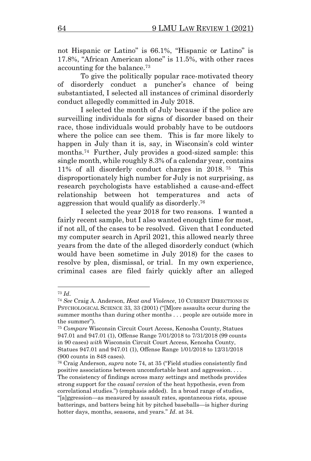not Hispanic or Latino" is 66.1%, "Hispanic or Latino" is 17.8%, "African American alone" is 11.5%, with other races accounting for the balance.<sup>73</sup>

To give the politically popular race-motivated theory of disorderly conduct a puncher's chance of being substantiated, I selected all instances of criminal disorderly conduct allegedly committed in July 2018.

<span id="page-14-0"></span>I selected the month of July because if the police are surveilling individuals for signs of disorder based on their race, those individuals would probably have to be outdoors where the police can see them. This is far more likely to happen in July than it is, say, in Wisconsin's cold winter months. 74 Further, July provides a good-sized sample: this single month, while roughly 8.3% of a calendar year, contains 11% of all disorderly conduct charges in 2018. <sup>75</sup> This disproportionately high number for July is not surprising, as research psychologists have established a cause-and-effect relationship between hot temperatures and acts of aggression that would qualify as disorderly. 76

I selected the year 2018 for two reasons. I wanted a fairly recent sample, but I also wanted enough time for most, if not all, of the cases to be resolved. Given that I conducted my computer search in April 2021, this allowed nearly three years from the date of the alleged disorderly conduct (which would have been sometime in July 2018) for the cases to resolve by plea, dismissal, or trial. In my own experience, criminal cases are filed fairly quickly after an alleged

<sup>73</sup> *Id*.

<sup>74</sup> *See* Craig A. Anderson, *Heat and Violence*, 10 CURRENT DIRECTIONS IN PSYCHOLOGICAL SCIENCE 33, 33 (2001) ("[M]ore assaults occur during the summer months than during other months . . . people are outside more in the summer").

<sup>75</sup> *Compare* Wisconsin Circuit Court Access, Kenosha County, Statues 947.01 and 947.01 (1), Offense Range 7/01/2018 to 7/31/2018 (99 counts in 90 cases) *with* Wisconsin Circuit Court Access, Kenosha County, Statues 947.01 and 947.01 (1), Offense Range 1/01/2018 to 12/31/2018 (900 counts in 848 cases).

<sup>76</sup> Craig Anderson, *supra* not[e 74](#page-14-0), at 35 ("Field studies consistently find positive associations between uncomfortable heat and aggression. . . . The consistency of findings across many settings and methods provides strong support for the *causal version* of the heat hypothesis, even from correlational studies.") (emphasis added). In a broad range of studies, "[a]ggression—as measured by assault rates, spontaneous riots, spouse batterings, and batters being hit by pitched baseballs—is higher during hotter days, months, seasons, and years." *Id*. at 34.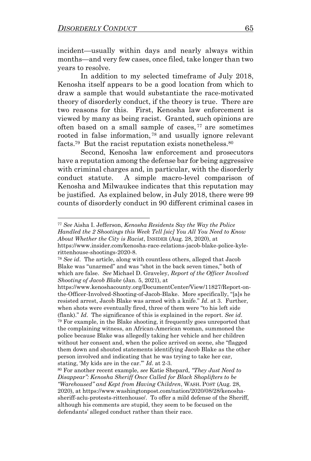incident—usually within days and nearly always within months—and very few cases, once filed, take longer than two years to resolve.

In addition to my selected timeframe of July 2018, Kenosha itself appears to be a good location from which to draw a sample that would substantiate the race-motivated theory of disorderly conduct, if the theory is true. There are two reasons for this. First, Kenosha law enforcement is viewed by many as being racist. Granted, such opinions are often based on a small sample of cases,  $77$  are sometimes rooted in false information, <sup>78</sup> and usually ignore relevant facts.<sup>79</sup> But the racist reputation exists nonetheless.<sup>80</sup>

Second, Kenosha law enforcement and prosecutors have a reputation among the defense bar for being aggressive with criminal charges and, in particular, with the disorderly conduct statute. A simple macro-level comparison of Kenosha and Milwaukee indicates that this reputation may be justified. As explained below, in July 2018, there were 99 counts of disorderly conduct in 90 different criminal cases in

<sup>77</sup> *See* Aisha I. Jefferson, *Kenosha Residents Say the Way the Police Handled the 2 Shootings this Week Tell [sic] You All You Need to Know About Whether the City is Racist*, INSIDER (Aug. 28, 2020), at

https://www.insider.com/kenosha-race-relations-jacob-blake-police-kylerittenhouse-shootings-2020-8.

<sup>78</sup> *See id*. The article, along with countless others, alleged that Jacob Blake was "unarmed" and was "shot in the back seven times," both of which are false. *See* Michael D. Graveley, *Report of the Officer Involved Shooting of Jacob Blake* (Jan. 5, 2021), at

https://www.kenoshacounty.org/DocumentCenter/View/11827/Report-onthe-Officer-Involved-Shooting-of-Jacob-Blake. More specifically, "[a]s he resisted arrest, Jacob Blake was armed with a knife." *Id*. at 3. Further, when shots were eventually fired, three of them were "to his left side (flank)." *Id*. The significance of this is explained in the report. *See id*. <sup>79</sup> For example, in the Blake shooting, it frequently goes unreported that the complaining witness, an African-American woman, summoned the police because Blake was allegedly taking her vehicle and her children without her consent and, when the police arrived on scene, she "flagged them down and shouted statements identifying Jacob Blake as the other person involved and indicating that he was trying to take her car, stating, 'My kids are in the car.'" *Id*. at 2-3.

<sup>80</sup> For another recent example, *see* Katie Shepard, *"They Just Need to Disappear": Kenosha Sheriff Once Called for Black Shoplifters to be "Warehoused" and Kept from Having Children*, WASH. POST (Aug. 28, 2020), at https://www.washingtonpost.com/nation/2020/08/28/kenoshasheriff-aclu-protests-rittenhouse/. To offer a mild defense of the Sheriff, although his comments are stupid, they seem to be focused on the defendants' alleged conduct rather than their race.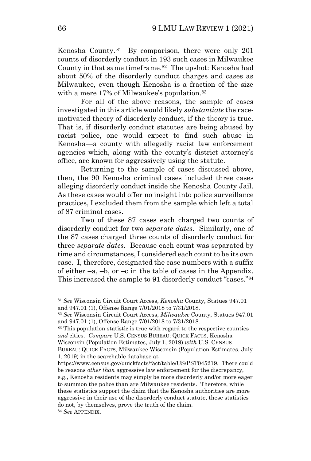Kenosha County. 81 By comparison, there were only 201 counts of disorderly conduct in 193 such cases in Milwaukee County in that same timeframe. 82 The upshot: Kenosha had about 50% of the disorderly conduct charges and cases as Milwaukee, even though Kenosha is a fraction of the size with a mere 17% of Milwaukee's population.<sup>83</sup>

For all of the above reasons, the sample of cases investigated in this article would likely *substantiate* the racemotivated theory of disorderly conduct, if the theory is true. That is, if disorderly conduct statutes are being abused by racist police, one would expect to find such abuse in Kenosha—a county with allegedly racist law enforcement agencies which, along with the county's district attorney's office, are known for aggressively using the statute.

Returning to the sample of cases discussed above, then, the 90 Kenosha criminal cases included three cases alleging disorderly conduct inside the Kenosha County Jail. As these cases would offer no insight into police surveillance practices, I excluded them from the sample which left a total of 87 criminal cases.

Two of these 87 cases each charged two counts of disorderly conduct for two *separate dates*. Similarly, one of the 87 cases charged three counts of disorderly conduct for three *separate dates*. Because each count was separated by time and circumstances, I considered each count to be its own case. I, therefore, designated the case numbers with a suffix of either  $-a$ ,  $-b$ , or  $-c$  in the table of cases in the Appendix. This increased the sample to 91 disorderly conduct "cases."<sup>84</sup>

<sup>81</sup> *See* Wisconsin Circuit Court Access, *Kenosha* County, Statues 947.01 and 947.01 (1), Offense Range 7/01/2018 to 7/31/2018.

<sup>82</sup> *See* Wisconsin Circuit Court Access, *Milwaukee* County, Statues 947.01 and 947.01 (1), Offense Range 7/01/2018 to 7/31/2018.

<sup>83</sup> This population statistic is true with regard to the respective counties *and* cities. *Compare* U.S. CENSUS BUREAU: QUICK FACTS, Kenosha Wisconsin (Population Estimates, July 1, 2019) *with* U.S. CENSUS

BUREAU: QUICK FACTS, Milwaukee Wisconsin (Population Estimates, July 1, 2019) in the searchable database at

https://www.census.gov/quickfacts/fact/table/US/PST045219. There could be reasons *other than* aggressive law enforcement for the discrepancy, e.g., Kenosha residents may simply be more disorderly and/or more eager to summon the police than are Milwaukee residents. Therefore, while these statistics support the claim that the Kenosha authorities are more aggressive in their use of the disorderly conduct statute, these statistics do not, by themselves, prove the truth of the claim. <sup>84</sup> *See* APPENDIX.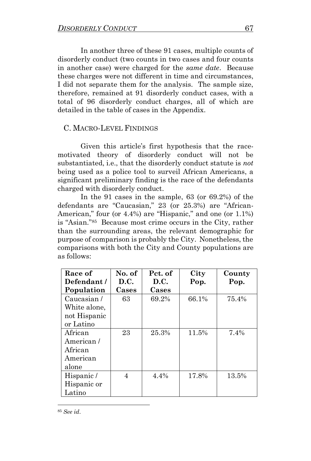In another three of these 91 cases, multiple counts of disorderly conduct (two counts in two cases and four counts in another case) were charged for the *same date*. Because these charges were not different in time and circumstances, I did not separate them for the analysis. The sample size, therefore, remained at 91 disorderly conduct cases, with a total of 96 disorderly conduct charges, all of which are detailed in the table of cases in the Appendix.

## C. MACRO-LEVEL FINDINGS

Given this article's first hypothesis that the racemotivated theory of disorderly conduct will not be substantiated, i.e., that the disorderly conduct statute is *not* being used as a police tool to surveil African Americans, a significant preliminary finding is the race of the defendants charged with disorderly conduct.

In the 91 cases in the sample, 63 (or 69.2%) of the defendants are "Caucasian," 23 (or 25.3%) are "African-American," four (or 4.4%) are "Hispanic," and one (or 1.1%) is "Asian." 85 Because most crime occurs in the City, rather than the surrounding areas, the relevant demographic for purpose of comparison is probably the City. Nonetheless, the comparisons with both the City and County populations are as follows:

| Race of      | No. of | Pct. of | City  | County |
|--------------|--------|---------|-------|--------|
| Defendant/   | D.C.   | D.C.    | Pop.  | Pop.   |
| Population   | Cases  | Cases   |       |        |
| Caucasian/   | 63     | 69.2%   | 66.1% | 75.4%  |
| White alone, |        |         |       |        |
| not Hispanic |        |         |       |        |
| or Latino    |        |         |       |        |
| African      | 23     | 25.3%   | 11.5% | 7.4%   |
| American/    |        |         |       |        |
| African      |        |         |       |        |
| American     |        |         |       |        |
| alone        |        |         |       |        |
| Hispanic/    | 4      | 4.4%    | 17.8% | 13.5%  |
| Hispanic or  |        |         |       |        |
| Latino       |        |         |       |        |

<sup>85</sup> *See id*.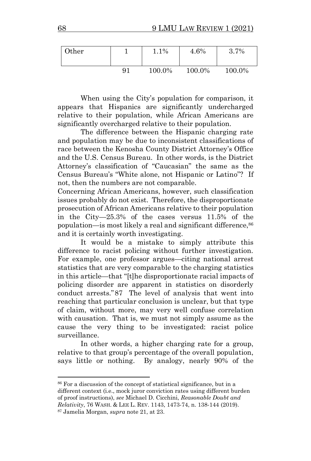| Other |    | 1.1%   | 4.6%   | $.7\%$<br>3.' |
|-------|----|--------|--------|---------------|
|       | 91 | 100.0% | 100.0% | 100.0%        |

When using the City's population for comparison, it appears that Hispanics are significantly undercharged relative to their population, while African Americans are significantly overcharged relative to their population.

The difference between the Hispanic charging rate and population may be due to inconsistent classifications of race between the Kenosha County District Attorney's Office and the U.S. Census Bureau. In other words, is the District Attorney's classification of "Caucasian" the same as the Census Bureau's "White alone, not Hispanic or Latino"? If not, then the numbers are not comparable.

Concerning African Americans, however, such classification issues probably do not exist. Therefore, the disproportionate prosecution of African Americans relative to their population in the City—25.3% of the cases versus 11.5% of the population—is most likely a real and significant difference,<sup>86</sup> and it is certainly worth investigating.

It would be a mistake to simply attribute this difference to racist policing without further investigation. For example, one professor argues—citing national arrest statistics that are very comparable to the charging statistics in this article—that "[t]he disproportionate racial impacts of policing disorder are apparent in statistics on disorderly conduct arrests."87 The level of analysis that went into reaching that particular conclusion is unclear, but that type of claim, without more, may very well confuse correlation with causation. That is, we must not simply assume as the cause the very thing to be investigated: racist police surveillance.

In other words, a higher charging rate for a group, relative to that group's percentage of the overall population, says little or nothing. By analogy, nearly 90% of the

<sup>86</sup> For a discussion of the concept of statistical significance, but in a different context (i.e., mock juror conviction rates using different burden of proof instructions), *see* Michael D. Cicchini, *Reasonable Doubt and Relativity*, 76 WASH. & LEE L. REV. 1143, 1473-74, n. 138-144 (2019). <sup>87</sup> Jamelia Morgan, *supra* note [21,](#page-2-0) at 23.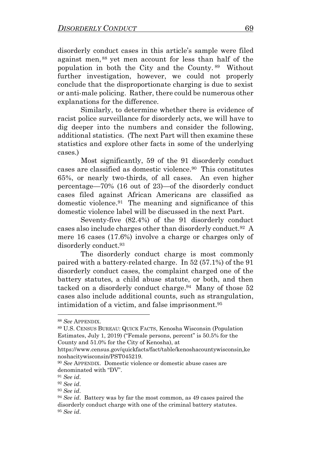disorderly conduct cases in this article's sample were filed against men, <sup>88</sup> yet men account for less than half of the population in both the City and the County. <sup>89</sup> Without further investigation, however, we could not properly conclude that the disproportionate charging is due to sexist or anti-male policing. Rather, there could be numerous other explanations for the difference.

Similarly, to determine whether there is evidence of racist police surveillance for disorderly acts, we will have to dig deeper into the numbers and consider the following, additional statistics. (The next Part will then examine these statistics and explore other facts in some of the underlying cases.)

 Most significantly, 59 of the 91 disorderly conduct cases are classified as domestic violence. 90 This constitutes 65%, or nearly two-thirds, of all cases. An even higher percentage—70% (16 out of 23)—of the disorderly conduct cases filed against African Americans are classified as domestic violence. 91 The meaning and significance of this domestic violence label will be discussed in the next Part.

Seventy-five (82.4%) of the 91 disorderly conduct cases also include charges other than disorderly conduct.<sup>92</sup> A mere 16 cases (17.6%) involve a charge or charges only of disorderly conduct. 93

The disorderly conduct charge is most commonly paired with a battery-related charge. In 52 (57.1%) of the 91 disorderly conduct cases, the complaint charged one of the battery statutes, a child abuse statute, or both, and then tacked on a disorderly conduct charge.<sup>94</sup> Many of those 52 cases also include additional counts, such as strangulation, intimidation of a victim, and false imprisonment.<sup>95</sup>

<sup>88</sup> *See* APPENDIX.

<sup>89</sup> U.S. CENSUS BUREAU: QUICK FACTS, Kenosha Wisconsin (Population Estimates, July 1, 2019) ("Female persons, percent" is 50.5% for the County and 51.0% for the City of Kenosha), at

https://www.census.gov/quickfacts/fact/table/kenoshacountywisconsin,ke noshacitywisconsin/PST045219.

<sup>90</sup> *See* APPENDIX. Domestic violence or domestic abuse cases are denominated with "DV".

<sup>91</sup> *See id*.

<sup>92</sup> *See id*.

<sup>93</sup> *See id*.

<sup>94</sup> *See id*. Battery was by far the most common, as 49 cases paired the disorderly conduct charge with one of the criminal battery statutes. <sup>95</sup> *See id*.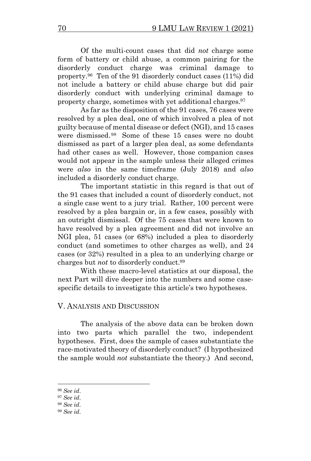Of the multi-count cases that did *not* charge some form of battery or child abuse, a common pairing for the disorderly conduct charge was criminal damage to property.<sup>96</sup> Ten of the 91 disorderly conduct cases (11%) did not include a battery or child abuse charge but did pair disorderly conduct with underlying criminal damage to property charge, sometimes with yet additional charges.<sup>97</sup>

As far as the disposition of the 91 cases, 76 cases were resolved by a plea deal, one of which involved a plea of not guilty because of mental disease or defect (NGI), and 15 cases were dismissed. <sup>98</sup> Some of these 15 cases were no doubt dismissed as part of a larger plea deal, as some defendants had other cases as well. However, those companion cases would not appear in the sample unless their alleged crimes were *also* in the same timeframe (July 2018) and *also* included a disorderly conduct charge.

The important statistic in this regard is that out of the 91 cases that included a count of disorderly conduct, not a single case went to a jury trial. Rather, 100 percent were resolved by a plea bargain or, in a few cases, possibly with an outright dismissal. Of the 75 cases that were known to have resolved by a plea agreement and did not involve an NGI plea, 51 cases (or 68%) included a plea to disorderly conduct (and sometimes to other charges as well), and 24 cases (or 32%) resulted in a plea to an underlying charge or charges but *not* to disorderly conduct.<sup>99</sup>

With these macro-level statistics at our disposal, the next Part will dive deeper into the numbers and some casespecific details to investigate this article's two hypotheses.

## V. ANALYSIS AND DISCUSSION

The analysis of the above data can be broken down into two parts which parallel the two, independent hypotheses. First, does the sample of cases substantiate the race-motivated theory of disorderly conduct? (I hypothesized the sample would *not* substantiate the theory.) And second,

<sup>96</sup> *See id*.

<sup>97</sup> *See id*.

<sup>98</sup> *See id*.

<sup>99</sup> *See id*.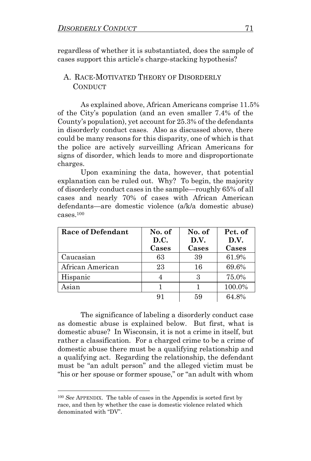regardless of whether it is substantiated, does the sample of cases support this article's charge-stacking hypothesis?

## A. RACE-MOTIVATED THEORY OF DISORDERLY **CONDUCT**

As explained above, African Americans comprise 11.5% of the City's population (and an even smaller 7.4% of the County's population), yet account for 25.3% of the defendants in disorderly conduct cases. Also as discussed above, there could be many reasons for this disparity, one of which is that the police are actively surveilling African Americans for signs of disorder, which leads to more and disproportionate charges.

Upon examining the data, however, that potential explanation can be ruled out. Why? To begin, the majority of disorderly conduct cases in the sample—roughly 65% of all cases and nearly 70% of cases with African American defendants—are domestic violence (a/k/a domestic abuse) cases.<sup>100</sup>

| Race of Defendant | No. of<br>D.C.<br>Cases | No. of<br>D.V.<br>Cases | Pct. of<br>D.V.<br>Cases |
|-------------------|-------------------------|-------------------------|--------------------------|
| Caucasian         | 63                      | 39                      | 61.9%                    |
| African American  | 23                      | 16                      | 69.6%                    |
| Hispanic          |                         | З                       | 75.0%                    |
| Asian             |                         |                         | 100.0%                   |
|                   | 91                      | 59                      | 64.8%                    |

The significance of labeling a disorderly conduct case as domestic abuse is explained below. But first, what is domestic abuse? In Wisconsin, it is not a crime in itself, but rather a classification. For a charged crime to be a crime of domestic abuse there must be a qualifying relationship and a qualifying act. Regarding the relationship, the defendant must be "an adult person" and the alleged victim must be "his or her spouse or former spouse," or "an adult with whom

<sup>100</sup> *See* APPENDIX. The table of cases in the Appendix is sorted first by race, and then by whether the case is domestic violence related which denominated with "DV".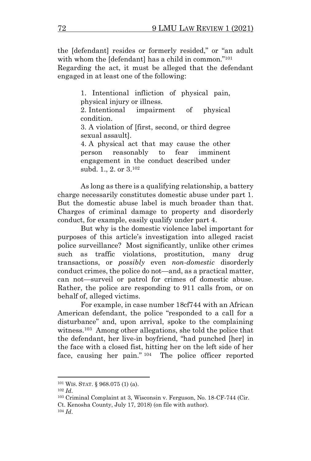the [defendant] resides or formerly resided," or "an adult with whom the [defendant] has a child in common."<sup>101</sup>

Regarding the act, it must be alleged that the defendant engaged in at least one of the following:

> 1. Intentional infliction of physical pain, physical injury or illness.

> 2. Intentional impairment of physical condition.

> 3. A violation of [first, second, or third degree sexual assault].

> 4. A physical act that may cause the other person reasonably to fear imminent engagement in the conduct described under subd. 1., 2. or 3.<sup>102</sup>

As long as there is a qualifying relationship, a battery charge necessarily constitutes domestic abuse under part 1. But the domestic abuse label is much broader than that. Charges of criminal damage to property and disorderly conduct, for example, easily qualify under part 4.

But why is the domestic violence label important for purposes of this article's investigation into alleged racist police surveillance? Most significantly, unlike other crimes such as traffic violations, prostitution, many drug transactions, or *possibly* even *non-domestic* disorderly conduct crimes, the police do not—and, as a practical matter, can not—surveil or patrol for crimes of domestic abuse. Rather, the police are responding to 911 calls from, or on behalf of, alleged victims.

For example, in case number 18cf744 with an African American defendant, the police "responded to a call for a disturbance" and, upon arrival, spoke to the complaining witness.<sup>103</sup> Among other allegations, she told the police that the defendant, her live-in boyfriend, "had punched [her] in the face with a closed fist, hitting her on the left side of her face, causing her pain." <sup>104</sup> The police officer reported

<sup>101</sup> WIS. STAT. § 968.075 (1) (a).

<sup>102</sup> *Id*.

<sup>103</sup> Criminal Complaint at 3, Wisconsin v. Ferguson, No. 18-CF-744 (Cir. Ct. Kenosha County, July 17, 2018) (on file with author).

<sup>104</sup> *Id*.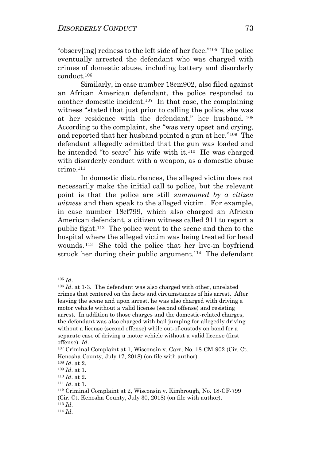"observ[ing] redness to the left side of her face."<sup>105</sup> The police eventually arrested the defendant who was charged with crimes of domestic abuse, including battery and disorderly conduct. 106

Similarly, in case number 18cm902, also filed against an African American defendant, the police responded to another domestic incident. 107 In that case, the complaining witness "stated that just prior to calling the police, she was at her residence with the defendant," her husband. <sup>108</sup> According to the complaint, she "was very upset and crying, and reported that her husband pointed a gun at her."<sup>109</sup> The defendant allegedly admitted that the gun was loaded and he intended "to scare" his wife with it. 110 He was charged with disorderly conduct with a weapon, as a domestic abuse crime.<sup>111</sup>

In domestic disturbances, the alleged victim does not necessarily make the initial call to police, but the relevant point is that the police are still *summoned by a citizen witness* and then speak to the alleged victim. For example, in case number 18cf799, which also charged an African American defendant, a citizen witness called 911 to report a public fight. 112 The police went to the scene and then to the hospital where the alleged victim was being treated for head wounds. <sup>113</sup> She told the police that her live-in boyfriend struck her during their public argument.<sup>114</sup> The defendant

<sup>105</sup> *Id*.

<sup>106</sup> *Id*. at 1-3. The defendant was also charged with other, unrelated crimes that centered on the facts and circumstances of his arrest. After leaving the scene and upon arrest, he was also charged with driving a motor vehicle without a valid license (second offense) and resisting arrest. In addition to those charges and the domestic-related charges, the defendant was also charged with bail jumping for allegedly driving without a license (second offense) while out-of-custody on bond for a separate case of driving a motor vehicle without a valid license (first offense). *Id*.

<sup>107</sup> Criminal Complaint at 1, Wisconsin v. Carr, No. 18-CM-902 (Cir. Ct. Kenosha County, July 17, 2018) (on file with author).

<sup>108</sup> *Id*. at 2.

<sup>109</sup> *Id*. at 1.

<sup>110</sup> *Id*. at 2.

<sup>111</sup> *Id*. at 1.

<sup>112</sup> Criminal Complaint at 2, Wisconsin v. Kimbrough, No. 18-CF-799 (Cir. Ct. Kenosha County, July 30, 2018) (on file with author). <sup>113</sup> *Id*.

<sup>114</sup> *Id*.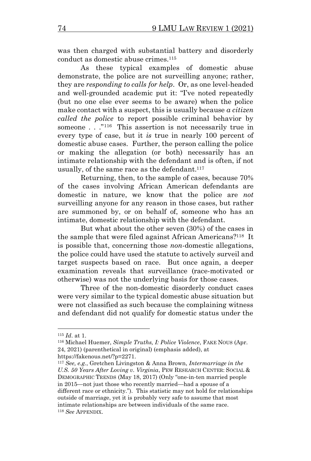was then charged with substantial battery and disorderly conduct as domestic abuse crimes.<sup>115</sup>

As these typical examples of domestic abuse demonstrate, the police are not surveilling anyone; rather, they are *responding to calls for help*. Or, as one level-headed and well-grounded academic put it: "I've noted repeatedly (but no one else ever seems to be aware) when the police make contact with a suspect, this is usually because *a citizen called the police* to report possible criminal behavior by someone . . ."<sup>116</sup> This assertion is not necessarily true in every type of case, but it *is* true in nearly 100 percent of domestic abuse cases. Further, the person calling the police or making the allegation (or both) necessarily has an intimate relationship with the defendant and is often, if not usually, of the same race as the defendant.<sup>117</sup>

<span id="page-24-0"></span>Returning, then, to the sample of cases, because 70% of the cases involving African American defendants are domestic in nature, we know that the police are *not* surveilling anyone for any reason in those cases, but rather are summoned by, or on behalf of, someone who has an intimate, domestic relationship with the defendant.

But what about the other seven (30%) of the cases in the sample that were filed against African Americans? 118 It is possible that, concerning those *non*-domestic allegations, the police could have used the statute to actively surveil and target suspects based on race. But once again, a deeper examination reveals that surveillance (race-motivated or otherwise) was not the underlying basis for those cases.

Three of the non-domestic disorderly conduct cases were very similar to the typical domestic abuse situation but were not classified as such because the complaining witness and defendant did not qualify for domestic status under the

<sup>115</sup> *Id*. at 1.

<sup>116</sup> Michael Huemer, *Simple Truths, I: Police Violence*, FAKE NOUS (Apr. 24, 2021) (parenthetical in original) (emphasis added), at https://fakenous.net/?p=2271.

<sup>117</sup> *See, e.g.*, Gretchen Livingston & Anna Brown, *Intermarriage in the U.S. 50 Years After Loving v. Virginia*, PEW RESEARCH CENTER: SOCIAL & DEMOGRAPHIC TRENDS (May 18, 2017) (Only "one-in-ten married people in 2015—not just those who recently married—had a spouse of a different race or ethnicity."). This statistic may not hold for relationships outside of marriage, yet it is probably very safe to assume that most intimate relationships are between individuals of the same race. <sup>118</sup> *See* APPENDIX.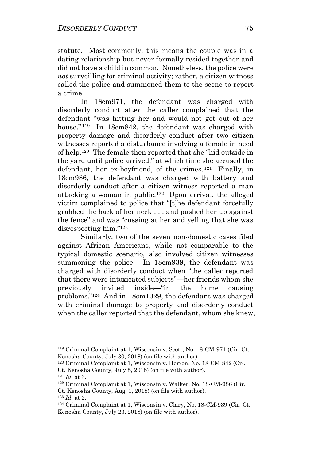statute. Most commonly, this means the couple was in a dating relationship but never formally resided together and did not have a child in common. Nonetheless, the police were *not* surveilling for criminal activity; rather, a citizen witness called the police and summoned them to the scene to report a crime.

In 18cm971, the defendant was charged with disorderly conduct after the caller complained that the defendant "was hitting her and would not get out of her house."<sup>119</sup> In 18cm842, the defendant was charged with property damage and disorderly conduct after two citizen witnesses reported a disturbance involving a female in need of help.<sup>120</sup> The female then reported that she "hid outside in the yard until police arrived," at which time she accused the defendant, her ex-boyfriend, of the crimes. 121 Finally, in 18cm986, the defendant was charged with battery and disorderly conduct after a citizen witness reported a man attacking a woman in public.<sup>122</sup> Upon arrival, the alleged victim complained to police that "[t]he defendant forcefully grabbed the back of her neck . . . and pushed her up against the fence" and was "cussing at her and yelling that she was disrespecting him."<sup>123</sup>

Similarly, two of the seven non-domestic cases filed against African Americans, while not comparable to the typical domestic scenario, also involved citizen witnesses summoning the police. In 18cm939, the defendant was charged with disorderly conduct when "the caller reported that there were intoxicated subjects"—her friends whom she previously invited inside—"in the home causing problems."<sup>124</sup> And in 18cm1029, the defendant was charged with criminal damage to property and disorderly conduct when the caller reported that the defendant, whom she knew,

<sup>119</sup> Criminal Complaint at 1, Wisconsin v. Scott, No. 18-CM-971 (Cir. Ct. Kenosha County, July 30, 2018) (on file with author).

<sup>120</sup> Criminal Complaint at 1, Wisconsin v. Herron, No. 18-CM-842 (Cir. Ct. Kenosha County, July 5, 2018) (on file with author).

<sup>121</sup> *Id*. at 3.

<sup>122</sup> Criminal Complaint at 1, Wisconsin v. Walker, No. 18-CM-986 (Cir.

Ct. Kenosha County, Aug. 1, 2018) (on file with author). <sup>123</sup> *Id*. at 2.

<sup>124</sup> Criminal Complaint at 1, Wisconsin v. Clary, No. 18-CM-939 (Cir. Ct. Kenosha County, July 23, 2018) (on file with author).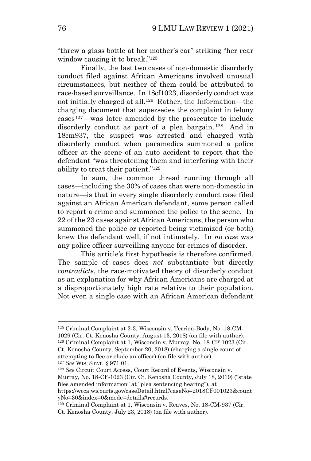"threw a glass bottle at her mother's car" striking "her rear window causing it to break."<sup>125</sup>

Finally, the last two cases of non-domestic disorderly conduct filed against African Americans involved unusual circumstances, but neither of them could be attributed to race-based surveillance. In 18cf1023, disorderly conduct was not initially charged at all.<sup>126</sup> Rather, the Information—the charging document that supersedes the complaint in felony cases127—was later amended by the prosecutor to include disorderly conduct as part of a plea bargain.<sup>128</sup> And in 18cm937, the suspect was arrested and charged with disorderly conduct when paramedics summoned a police officer at the scene of an auto accident to report that the defendant "was threatening them and interfering with their ability to treat their patient."<sup>129</sup>

In sum, the common thread running through all cases—including the 30% of cases that were non-domestic in nature—is that in every single disorderly conduct case filed against an African American defendant, some person called to report a crime and summoned the police to the scene. In 22 of the 23 cases against African Americans, the person who summoned the police or reported being victimized (or both) knew the defendant well, if not intimately. In *no case* was any police officer surveilling anyone for crimes of disorder.

This article's first hypothesis is therefore confirmed. The sample of cases does *not* substantiate but directly *contradicts*, the race-motivated theory of disorderly conduct as an explanation for why African Americans are charged at a disproportionately high rate relative to their population. Not even a single case with an African American defendant

<sup>125</sup> Criminal Complaint at 2-3, Wisconsin v. Terrien-Body, No. 18-CM-1029 (Cir. Ct. Kenosha County, August 13, 2018) (on file with author). <sup>126</sup> Criminal Complaint at 1, Wisconsin v. Murray, No. 18-CF-1023 (Cir. Ct. Kenosha County, September 20, 2018) (charging a single count of attempting to flee or elude an officer) (on file with author).

<sup>127</sup> *See* WIS. STAT. § 971.01.

<sup>128</sup> *See* Circuit Court Access, Court Record of Events, Wisconsin v. Murray, No. 18-CF-1023 (Cir. Ct. Kenosha County, July 18, 2019) ("state

https://wcca.wicourts.gov/caseDetail.html?caseNo=2018CF001023&count yNo=30&index=0&mode=details#records.

files amended information" at "plea sentencing hearing"), at

<sup>129</sup> Criminal Complaint at 1, Wisconsin v. Reaves, No. 18-CM-937 (Cir. Ct. Kenosha County, July 23, 2018) (on file with author).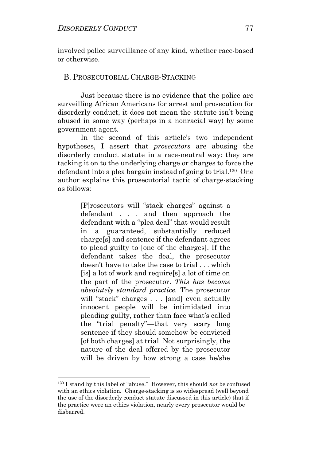involved police surveillance of any kind, whether race-based or otherwise.

## B. PROSECUTORIAL CHARGE-STACKING

Just because there is no evidence that the police are surveilling African Americans for arrest and prosecution for disorderly conduct, it does not mean the statute isn't being abused in some way (perhaps in a nonracial way) by some government agent.

In the second of this article's two independent hypotheses, I assert that *prosecutors* are abusing the disorderly conduct statute in a race-neutral way: they are tacking it on to the underlying charge or charges to force the defendant into a plea bargain instead of going to trial.<sup>130</sup> One author explains this prosecutorial tactic of charge-stacking as follows:

> [P]rosecutors will "stack charges" against a defendant . . . and then approach the defendant with a "plea deal" that would result in a guaranteed, substantially reduced charge[s] and sentence if the defendant agrees to plead guilty to [one of the charges]. If the defendant takes the deal, the prosecutor doesn't have to take the case to trial . . . which [is] a lot of work and require[s] a lot of time on the part of the prosecutor. *This has become absolutely standard practice.* The prosecutor will "stack" charges . . . [and] even actually innocent people will be intimidated into pleading guilty, rather than face what's called the "trial penalty"—that very scary long sentence if they should somehow be convicted [of both charges] at trial. Not surprisingly, the nature of the deal offered by the prosecutor will be driven by how strong a case he/she

<sup>130</sup> I stand by this label of "abuse." However, this should *not* be confused with an ethics violation. Charge-stacking is so widespread (well beyond the use of the disorderly conduct statute discussed in this article) that if the practice were an ethics violation, nearly every prosecutor would be disbarred.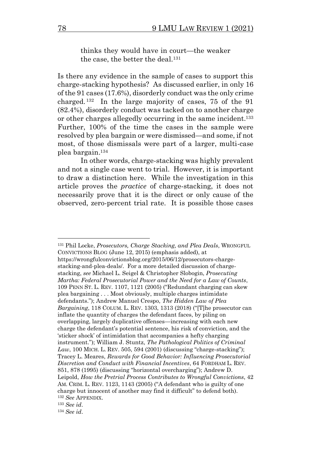<span id="page-28-0"></span>thinks they would have in court—the weaker the case, the better the deal.<sup>131</sup>

Is there any evidence in the sample of cases to support this charge-stacking hypothesis? As discussed earlier, in only 16 of the 91 cases (17.6%), disorderly conduct was the only crime charged. <sup>132</sup> In the large majority of cases, 75 of the 91 (82.4%), disorderly conduct was tacked on to another charge or other charges allegedly occurring in the same incident.<sup>133</sup> Further, 100% of the time the cases in the sample were resolved by plea bargain or were dismissed—and some, if not most, of those dismissals were part of a larger, multi-case plea bargain. 134

In other words, charge-stacking was highly prevalent and not a single case went to trial. However, it is important to draw a distinction here. While the investigation in this article proves the *practice* of charge-stacking, it does not necessarily prove that it is the direct or only cause of the observed, zero-percent trial rate. It is possible those cases

<sup>131</sup> Phil Locke, *Prosecutors, Charge Stacking, and Plea Deals*, WRONGFUL CONVICTIONS BLOG (June 12, 2015) (emphasis added), at https://wrongfulconvictionsblog.org/2015/06/12/prosecutors-chargestacking-and-plea-deals/. For a more detailed discussion of chargestacking, *see* Michael L. Seigel & Christopher Slobogin, *Prosecuting Martha: Federal Prosecutorial Power and the Need for a Law of Counts*, 109 PENN ST. L. REV. 1107, 1121 (2005) ("Redundant charging can skew plea bargaining . . . Most obviously, multiple charges intimidate defendants."); Andrew Manuel Crespo, *The Hidden Law of Plea Bargaining*, 118 COLUM. L. REV. 1303, 1313 (2018) ("[T]he prosecutor can inflate the quantity of charges the defendant faces, by piling on overlapping, largely duplicative offenses—increasing with each new charge the defendant's potential sentence, his risk of conviction, and the 'sticker shock' of intimidation that accompanies a hefty charging instrument."); William J. Stuntz, *The Pathological Politics of Criminal Law*, 100 MICH. L. REV. 505, 594 (2001) (discussing "charge-stacking"); Tracey L. Meares, *Rewards for Good Behavior: Influencing Prosecutorial Discretion and Conduct with Financial Incentives*, 64 FORDHAM L. REV. 851, 878 (1995) (discussing "horizontal overcharging"); Andrew D. Leipold, *How the Pretrial Process Contributes to Wrongful Convictions*, 42 AM. CRIM. L. REV. 1123, 1143 (2005) ("A defendant who is guilty of one charge but innocent of another may find it difficult" to defend both). <sup>132</sup> *See* APPENDIX.

<sup>133</sup> *See id*.

<sup>134</sup> *See id*.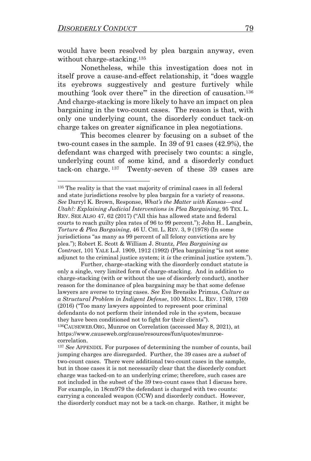would have been resolved by plea bargain anyway, even without charge-stacking.<sup>135</sup>

 Nonetheless, while this investigation does not in itself prove a cause-and-effect relationship, it "does waggle its eyebrows suggestively and gesture furtively while mouthing 'look over there'" in the direction of causation.<sup>136</sup> And charge-stacking is more likely to have an impact on plea bargaining in the two-count cases. The reason is that, with only one underlying count, the disorderly conduct tack-on charge takes on greater significance in plea negotiations.

This becomes clearer by focusing on a subset of the two-count cases in the sample. In 39 of 91 cases (42.9%), the defendant was charged with precisely two counts: a single, underlying count of some kind, and a disorderly conduct tack-on charge. 137 Twenty-seven of these 39 cases are

Further, charge-stacking with the disorderly conduct statute is only a single, very limited form of charge-stacking. And in addition to charge-stacking (with or without the use of disorderly conduct), another reason for the dominance of plea bargaining may be that some defense lawyers are averse to trying cases. *See* Eve Brensike Primus, *Culture as a Structural Problem in Indigent Defense*, 100 MINN. L. REV. 1769, 1769 (2016) ("Too many lawyers appointed to represent poor criminal defendants do not perform their intended role in the system, because they have been conditioned not to fight for their clients"). <sup>136</sup>CAUSEWEB.ORG, Munroe on Correlation (accessed May 8, 2021), at

<sup>&</sup>lt;sup>135</sup> The reality is that the vast majority of criminal cases in all federal and state jurisdictions resolve by plea bargain for a variety of reasons. *See* Darryl K. Brown, Response, *What's the Matter with Kansas—and Utah?: Explaining Judicial Interventions in Plea Bargaining*, 95 TEX. L. REV. SEE ALSO 47, 62 (2017) ("All this has allowed state and federal courts to reach guilty plea rates of 96 to 99 percent."); John H.. Langbein, *Torture & Plea Bargaining*, 46 U. CHI. L. REV. 3, 9 (1978) (In some jurisdictions "as many as 99 percent of all felony convictions are by plea."); Robert E. Scott & William J. Stuntz, *Plea Bargaining as Contract*, 101 YALE L.J. 1909, 1912 (1992) (Plea bargaining "is not some adjunct to the criminal justice system; it *is* the criminal justice system.").

https://www.causeweb.org/cause/resources/fun/quotes/munroecorrelation.

<sup>137</sup> *See* APPENDIX. For purposes of determining the number of counts, bail jumping charges are disregarded. Further, the 39 cases are a *subset* of two-count cases. There were additional two-count cases in the sample, but in those cases it is not necessarily clear that the disorderly conduct charge was tacked-on to an underlying crime; therefore, such cases are not included in the subset of the 39 two-count cases that I discuss here. For example, in 18cm979 the defendant is charged with two counts: carrying a concealed weapon (CCW) and disorderly conduct. However, the disorderly conduct may not be a tack-on charge. Rather, it might be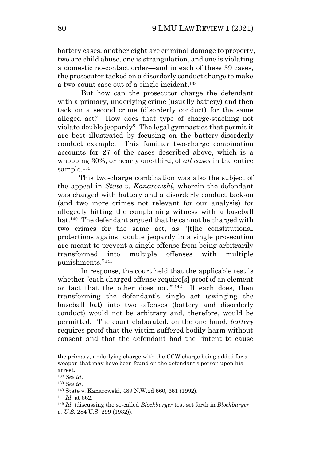battery cases, another eight are criminal damage to property, two are child abuse, one is strangulation, and one is violating a domestic no-contact order—and in each of these 39 cases, the prosecutor tacked on a disorderly conduct charge to make a two-count case out of a single incident. 138

 But how can the prosecutor charge the defendant with a primary, underlying crime (usually battery) and then tack on a second crime (disorderly conduct) for the same alleged act? How does that type of charge-stacking not violate double jeopardy? The legal gymnastics that permit it are best illustrated by focusing on the battery-disorderly conduct example. This familiar two-charge combination accounts for 27 of the cases described above, which is a whopping 30%, or nearly one-third, of *all cases* in the entire sample.<sup>139</sup>

 This two-charge combination was also the subject of the appeal in *State v. Kanarowski*, wherein the defendant was charged with battery and a disorderly conduct tack-on (and two more crimes not relevant for our analysis) for allegedly hitting the complaining witness with a baseball bat. 140 The defendant argued that he cannot be charged with two crimes for the same act, as "[t]he constitutional protections against double jeopardy in a single prosecution are meant to prevent a single offense from being arbitrarily transformed into multiple offenses with multiple punishments."<sup>141</sup>

In response, the court held that the applicable test is whether "each charged offense require[s] proof of an element or fact that the other does not." <sup>142</sup> If each does, then transforming the defendant's single act (swinging the baseball bat) into two offenses (battery and disorderly conduct) would not be arbitrary and, therefore, would be permitted. The court elaborated: on the one hand, *battery* requires proof that the victim suffered bodily harm without consent and that the defendant had the "intent to cause

the primary, underlying charge with the CCW charge being added for a weapon that may have been found on the defendant's person upon his arrest.

<sup>138</sup> *See id*.

<sup>139</sup> *See id*.

<sup>140</sup> State v. Kanarowski, 489 N.W.2d 660, 661 (1992).

<sup>141</sup> *Id*. at 662.

<sup>142</sup> *Id*. (discussing the so-called *Blockburger* test set forth in *Blockburger v. U.S*. 284 U.S. 299 (1932)).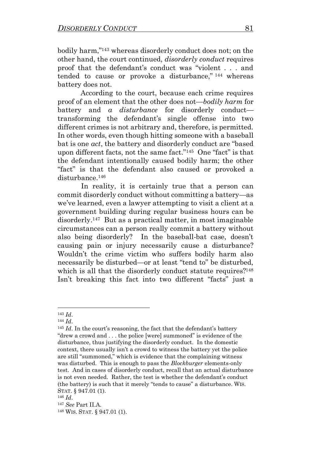bodily harm," <sup>143</sup> whereas disorderly conduct does not; on the other hand, the court continued, *disorderly conduct* requires proof that the defendant's conduct was "violent . . . and tended to cause or provoke a disturbance," <sup>144</sup> whereas battery does not.

According to the court, because each crime requires proof of an element that the other does not—*bodily harm* for battery and *a disturbance* for disorderly conduct transforming the defendant's single offense into two different crimes is not arbitrary and, therefore, is permitted. In other words, even though hitting someone with a baseball bat is one *act*, the battery and disorderly conduct are "based upon different facts, not the same fact."<sup>145</sup> One "fact" is that the defendant intentionally caused bodily harm; the other "fact" is that the defendant also caused or provoked a disturbance.<sup>146</sup>

 In reality, it is certainly true that a person can commit disorderly conduct without committing a battery—as we've learned, even a lawyer attempting to visit a client at a government building during regular business hours can be disorderly. 147 But as a practical matter, in most imaginable circumstances can a person really commit a battery without also being disorderly? In the baseball-bat case, doesn't causing pain or injury necessarily cause a disturbance? Wouldn't the crime victim who suffers bodily harm also necessarily be disturbed—or at least "tend to" be disturbed, which is all that the disorderly conduct statute requires?<sup>148</sup> Isn't breaking this fact into two different "facts" just a

<sup>143</sup> *Id*.

<sup>144</sup> *Id*.

<sup>&</sup>lt;sup>145</sup> *Id*. In the court's reasoning, the fact that the defendant's battery "drew a crowd and . . . the police [were] summoned" is evidence of the disturbance, thus justifying the disorderly conduct. In the domestic context, there usually isn't a crowd to witness the battery yet the police are still "summoned," which is evidence that the complaining witness was disturbed. This is enough to pass the *Blockburger* elements-only test. And in cases of disorderly conduct, recall that an actual disturbance is not even needed. Rather, the test is whether the defendant's conduct (the battery) is such that it merely "tends to cause" a disturbance. WIS. STAT. § 947.01 (1).

<sup>146</sup> *Id*.

<sup>147</sup> *See* Part II.A.

<sup>148</sup> WIS. STAT. § 947.01 (1).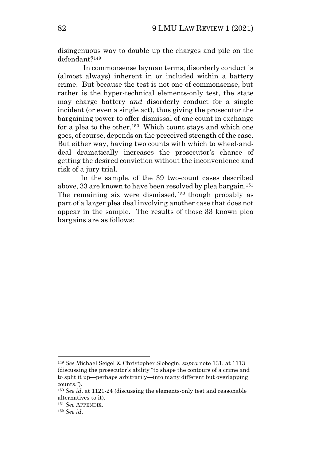disingenuous way to double up the charges and pile on the defendant? 149

 In commonsense layman terms, disorderly conduct is (almost always) inherent in or included within a battery crime. But because the test is not one of commonsense, but rather is the hyper-technical elements-only test, the state may charge battery *and* disorderly conduct for a single incident (or even a single act), thus giving the prosecutor the bargaining power to offer dismissal of one count in exchange for a plea to the other.<sup>150</sup> Which count stays and which one goes, of course, depends on the perceived strength of the case. But either way, having two counts with which to wheel-anddeal dramatically increases the prosecutor's chance of getting the desired conviction without the inconvenience and risk of a jury trial.

In the sample, of the 39 two-count cases described above, 33 are known to have been resolved by plea bargain.<sup>151</sup> The remaining six were dismissed, <sup>152</sup> though probably as part of a larger plea deal involving another case that does not appear in the sample. The results of those 33 known plea bargains are as follows:

<sup>149</sup> *See* Michael Seigel & Christopher Slobogin, *supra* note [131,](#page-28-0) at 1113 (discussing the prosecutor's ability "to shape the contours of a crime and to split it up—perhaps arbitrarily—into many different but overlapping counts.").

<sup>150</sup> *See id*. at 1121-24 (discussing the elements-only test and reasonable alternatives to it).

<sup>151</sup> *See* APPENDIX.

<sup>152</sup> *See id*.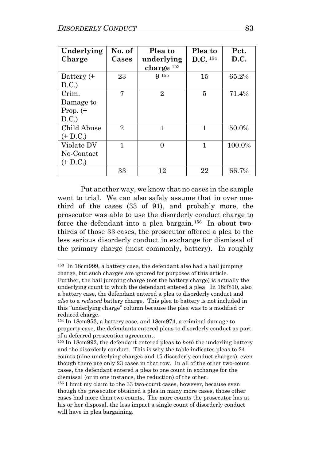| Underlying  | No. of         | Plea to               | Plea to               | Pct.   |
|-------------|----------------|-----------------------|-----------------------|--------|
| Charge      | Cases          | underlying            | $D.C.$ <sup>154</sup> | D.C.   |
|             |                | charge <sup>153</sup> |                       |        |
| Battery (+  | 23             | <b>9</b> 155          | 15                    | 65.2%  |
| D.C.        |                |                       |                       |        |
| Crim.       | 7              | $\overline{2}$        | 5                     | 71.4%  |
| Damage to   |                |                       |                       |        |
| Prop. $(+)$ |                |                       |                       |        |
| D.C.        |                |                       |                       |        |
| Child Abuse | $\overline{2}$ | 1                     | 1                     | 50.0%  |
| $(+$ D.C.)  |                |                       |                       |        |
| Violate DV  | 1              | ∩                     | 1                     | 100.0% |
| No-Contact  |                |                       |                       |        |
| $(+$ D.C.)  |                |                       |                       |        |
|             | 33             | 12                    | 22                    | 66.7%  |

Put another way, we know that no cases in the sample went to trial. We can also safely assume that in over onethird of the cases (33 of 91), and probably more, the prosecutor was able to use the disorderly conduct charge to force the defendant into a plea bargain.<sup>156</sup> In about twothirds of those 33 cases, the prosecutor offered a plea to the less serious disorderly conduct in exchange for dismissal of the primary charge (most commonly, battery). In roughly

<sup>153</sup> In 18cm999, a battery case, the defendant also had a bail jumping charge, but such charges are ignored for purposes of this article. Further, the bail jumping charge (not the battery charge) is actually the underlying count to which the defendant entered a plea. In 18cf810, also a battery case, the defendant entered a plea to disorderly conduct and *also* to a *reduced* battery charge. This plea to battery is not included in this "underlying charge" column because the plea was to a modified or reduced charge.

<sup>154</sup> In 18cm953, a battery case, and 18cm974, a criminal damage to property case, the defendants entered pleas to disorderly conduct as part of a deferred prosecution agreement.

<sup>155</sup> In 18cm992, the defendant entered pleas to *both* the underling battery and the disorderly conduct. This is why the table indicates pleas to 24 counts (nine underlying charges and 15 disorderly conduct charges), even though there are only 23 cases in that row. In all of the other two-count cases, the defendant entered a plea to one count in exchange for the dismissal (or in one instance, the reduction) of the other.

<sup>156</sup> I limit my claim to the 33 two-count cases, however, because even though the prosecutor obtained a plea in many more cases, those other cases had more than two counts. The more counts the prosecutor has at his or her disposal, the less impact a single count of disorderly conduct will have in plea bargaining.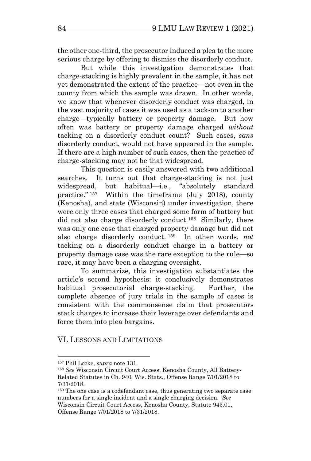the other one-third, the prosecutor induced a plea to the more serious charge by offering to dismiss the disorderly conduct.

But while this investigation demonstrates that charge-stacking is highly prevalent in the sample, it has not yet demonstrated the extent of the practice—not even in the county from which the sample was drawn. In other words, we know that whenever disorderly conduct was charged, in the vast majority of cases it was used as a tack-on to another charge—typically battery or property damage. But how often was battery or property damage charged *without* tacking on a disorderly conduct count? Such cases, *sans* disorderly conduct, would not have appeared in the sample. If there are a high number of such cases, then the practice of charge-stacking may not be that widespread.

This question is easily answered with two additional searches. It turns out that charge-stacking is not just widespread, but habitual—i.e., "absolutely standard practice." <sup>157</sup> Within the timeframe (July 2018), county (Kenosha), and state (Wisconsin) under investigation, there were only three cases that charged some form of battery but did not also charge disorderly conduct.<sup>158</sup> Similarly, there was only one case that charged property damage but did not also charge disorderly conduct. <sup>159</sup> In other words, *not* tacking on a disorderly conduct charge in a battery or property damage case was the rare exception to the rule—so rare, it may have been a charging oversight.

To summarize, this investigation substantiates the article's second hypothesis: it conclusively demonstrates habitual prosecutorial charge-stacking. Further, the complete absence of jury trials in the sample of cases is consistent with the commonsense claim that prosecutors stack charges to increase their leverage over defendants and force them into plea bargains.

## VI. LESSONS AND LIMITATIONS

<sup>157</sup> Phil Locke, *supra* note [131.](#page-28-0) 

<sup>158</sup> *See* Wisconsin Circuit Court Access, Kenosha County, All Battery-Related Statutes in Ch. 940, Wis. Stats., Offense Range 7/01/2018 to 7/31/2018.

<sup>159</sup> The one case is a codefendant case, thus generating two separate case numbers for a single incident and a single charging decision. *See* Wisconsin Circuit Court Access, Kenosha County, Statute 943.01, Offense Range 7/01/2018 to 7/31/2018.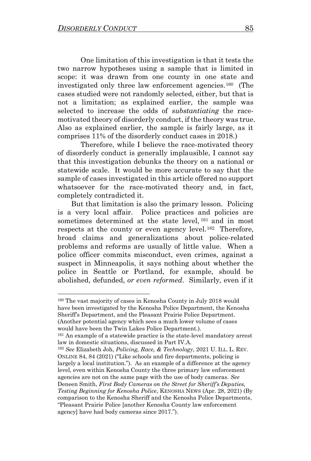One limitation of this investigation is that it tests the two narrow hypotheses using a sample that is limited in scope: it was drawn from one county in one state and investigated only three law enforcement agencies. 160 (The cases studied were not randomly selected, either, but that is not a limitation; as explained earlier, the sample was selected to increase the odds of *substantiating* the racemotivated theory of disorderly conduct, if the theory was true. Also as explained earlier, the sample is fairly large, as it comprises 11% of the disorderly conduct cases in 2018.)

Therefore, while I believe the race-motivated theory of disorderly conduct is generally implausible, I cannot say that this investigation debunks the theory on a national or statewide scale. It would be more accurate to say that the sample of cases investigated in this article offered no support whatsoever for the race-motivated theory and, in fact, completely contradicted it.

 But that limitation is also the primary lesson. Policing is a very local affair. Police practices and policies are sometimes determined at the state level, <sup>161</sup> and in most respects at the county or even agency level.<sup>162</sup> Therefore, broad claims and generalizations about police-related problems and reforms are usually of little value. When a police officer commits misconduct, even crimes, against a suspect in Minneapolis, it says nothing about whether the police in Seattle or Portland, for example, should be abolished, defunded, *or even reformed*. Similarly, even if it

<sup>160</sup> The vast majority of cases in Kenosha County in July 2018 would have been investigated by the Kenosha Police Department, the Kenosha Sheriff's Department, and the Pleasant Prairie Police Department. (Another potential agency which sees a much lower volume of cases would have been the Twin Lakes Police Department.).

<sup>&</sup>lt;sup>161</sup> An example of a statewide practice is the state-level mandatory arrest law in domestic situations, discussed in Part IV.A.

<sup>162</sup> *See* Elizabeth Joh, *Policing, Race, & Technology*, 2021 U. ILL. L. REV. ONLINE 84, 84 (2021) ("Like schools and fire departments, policing is largely a local institution."). As an example of a difference at the agency level, even within Kenosha County the three primary law enforcement agencies are not on the same page with the use of body cameras. *See* Deneen Smith, *First Body Cameras on the Street for Sheriff's Deputies, Testing Beginning for Kenosha Police*, KENOSHA NEWS (Apr. 28, 2021) (By comparison to the Kenosha Sheriff and the Kenosha Police Departments, "Pleasant Prairie Police [another Kenosha County law enforcement agency] have had body cameras since 2017.").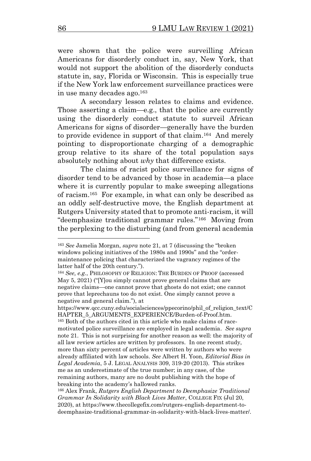were shown that the police were surveilling African Americans for disorderly conduct in, say, New York, that would not support the abolition of the disorderly conducts statute in, say, Florida or Wisconsin. This is especially true if the New York law enforcement surveillance practices were in use many decades ago.<sup>163</sup>

 A secondary lesson relates to claims and evidence. Those asserting a claim—e.g., that the police are currently using the disorderly conduct statute to surveil African Americans for signs of disorder—generally have the burden to provide evidence in support of that claim.<sup>164</sup> And merely pointing to disproportionate charging of a demographic group relative to its share of the total population says absolutely nothing about *why* that difference exists.

The claims of racist police surveillance for signs of disorder tend to be advanced by those in academia—a place where it is currently popular to make sweeping allegations of racism. 165 For example, in what can only be described as an oddly self-destructive move, the English department at Rutgers University stated that to promote anti-racism, it will "deemphasize traditional grammar rules." 166 Moving from the perplexing to the disturbing (and from general academia

https://www.qcc.cuny.edu/socialsciences/ppecorino/phil\_of\_religion\_text/C HAPTER 5 ARGUMENTS EXPERIENCE/Burden-of-Proof.htm. <sup>165</sup> Both of the authors cited in this article who make claims of racemotivated police surveillance are employed in legal academia. *See supra* not[e 21.](#page-2-0) This is not surprising for another reason as well: the majority of all law review articles are written by professors. In one recent study, more than sixty percent of articles were written by authors who were already affiliated with law schools. *See* Albert H. Yoon, *Editorial Bias in Legal Academia*, 5 J. LEGAL ANALYSIS 309, 319-20 (2013). This strikes me as an underestimate of the true number; in any case, of the remaining authors, many are no doubt publishing with the hope of breaking into the academy's hallowed ranks.

<sup>163</sup> *See* Jamelia Morgan, *supra* note [21](#page-2-0), at 7 (discussing the "broken windows policing initiatives of the 1980s and 1990s" and the "ordermaintenance policing that characterized the vagrancy regimes of the latter half of the 20th century.").

<sup>164</sup> *See, e.g.*, PHILOSOPHY OF RELIGION: THE BURDEN OF PROOF (accessed May 5, 2021) ("[Y]ou simply cannot prove general claims that are negative claims—one cannot prove that ghosts do not exist; one cannot prove that leprechauns too do not exist. One simply cannot prove a negative and general claim."), at

<sup>166</sup> Alex Frank, *Rutgers English Department to Deemphasize Traditional Grammar In Solidarity with Black Lives Matter*, COLLEGE FIX (Jul 20, 2020), at https://www.thecollegefix.com/rutgers-english-department-todeemphasize-traditional-grammar-in-solidarity-with-black-lives-matter/.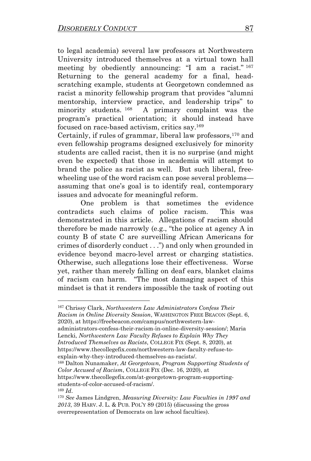to legal academia) several law professors at Northwestern University introduced themselves at a virtual town hall meeting by obediently announcing: "I am a racist." <sup>167</sup> Returning to the general academy for a final, headscratching example, students at Georgetown condemned as racist a minority fellowship program that provides "alumni mentorship, interview practice, and leadership trips" to minority students. <sup>168</sup> A primary complaint was the program's practical orientation; it should instead have focused on race-based activism, critics say.<sup>169</sup>

Certainly, if rules of grammar, liberal law professors,<sup>170</sup> and even fellowship programs designed exclusively for minority students are called racist, then it is no surprise (and might even be expected) that those in academia will attempt to brand the police as racist as well. But such liberal, freewheeling use of the word racism can pose several problems assuming that one's goal is to identify real, contemporary issues and advocate for meaningful reform.

One problem is that sometimes the evidence contradicts such claims of police racism. This was demonstrated in this article. Allegations of racism should therefore be made narrowly (e.g., "the police at agency A in county B of state C are surveilling African Americans for crimes of disorderly conduct . . .") and only when grounded in evidence beyond macro-level arrest or charging statistics. Otherwise, such allegations lose their effectiveness. Worse yet, rather than merely falling on deaf ears, blanket claims of racism can harm. "The most damaging aspect of this mindset is that it renders impossible the task of rooting out

<sup>167</sup> Chrissy Clark, *Northwestern Law Administrators Confess Their Racism in Online Diversity Session*, WASHINGTON FREE BEACON (Sept. 6, 2020), at https://freebeacon.com/campus/northwestern-law-

administrators-confess-their-racism-in-online-diversity-session/; Maria Lencki, *Northwestern Law Faculty Refuses to Explain Why They Introduced Themselves as Racists*, COLLEGE FIX (Sept. 8, 2020), at https://www.thecollegefix.com/northwestern-law-faculty-refuse-to-

explain-why-they-introduced-themselves-as-racists/.

<sup>168</sup> Dalton Nunamaker, *At Georgetown, Program Supporting Students of Color Accused of Racism*, COLLEGE FIX (Dec. 16, 2020), at https://www.thecollegefix.com/at-georgetown-program-supporting-

students-of-color-accused-of-racism/.

<sup>169</sup> *Id*.

<sup>170</sup> *See* James Lindgren, *Measuring Diversity: Law Faculties in 1997 and 2013*, 39 HARV. J. L. & PUB. POL'Y 89 (2015) (discussing the gross overrepresentation of Democrats on law school faculties).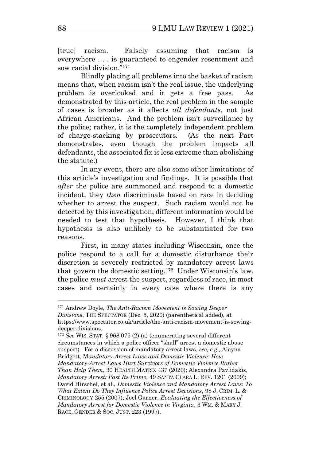[true] racism. Falsely assuming that racism is everywhere . . . is guaranteed to engender resentment and sow racial division."<sup>171</sup>

Blindly placing all problems into the basket of racism means that, when racism isn't the real issue, the underlying problem is overlooked and it gets a free pass. As demonstrated by this article, the real problem in the sample of cases is broader as it affects *all defendants*, not just African Americans. And the problem isn't surveillance by the police; rather, it is the completely independent problem of charge-stacking by prosecutors. (As the next Part demonstrates, even though the problem impacts all defendants, the associated fix is less extreme than abolishing the statute.)

In any event, there are also some other limitations of this article's investigation and findings. It is possible that *after* the police are summoned and respond to a domestic incident, they *then* discriminate based on race in deciding whether to arrest the suspect. Such racism would not be detected by this investigation; different information would be needed to test that hypothesis. However, I think that hypothesis is also unlikely to be substantiated for two reasons.

First, in many states including Wisconsin, once the police respond to a call for a domestic disturbance their discretion is severely restricted by mandatory arrest laws that govern the domestic setting.<sup>172</sup> Under Wisconsin's law, the police *must* arrest the suspect, regardless of race, in most cases and certainly in every case where there is any

<sup>171</sup> Andrew Doyle, *The Anti-Racism Movement is Sowing Deeper Divisions*, THE SPECTATOR (Dec. 5, 2020) (parenthetical added), at https://www.spectator.co.uk/article/the-anti-racism-movement-is-sowingdeeper-divisions.

<sup>172</sup> *See* WIS. STAT. § 968.075 (2) (a) (enumerating several different circumstances in which a police officer "shall" arrest a domestic abuse suspect). For a discussion of mandatory arrest laws, *see, e.g.,* Alayna Bridgett, M*andatory-Arrest Laws and Domestic Violence: How Mandatory-Arrest Laws Hurt Survivors of Domestic Violence Rather Than Help Them*, 30 HEALTH MATRIX 437 (2020); Alexandra Pavlidakis, *Mandatory Arrest: Past Its Prime*, 49 SANTA CLARA L. REV. 1201 (2009); David Hirschel, et al., *Domestic Violence and Mandatory Arrest Laws: To What Extent Do They Influence Police Arrest Decisions*, 98 J. CRIM. L. & CRIMINOLOGY 255 (2007); Joel Garner, *Evaluating the Effectiveness of Mandatory Arrest for Domestic Violence in Virginia*, 3 WM. & MARY J. RACE, GENDER & SOC. JUST. 223 (1997).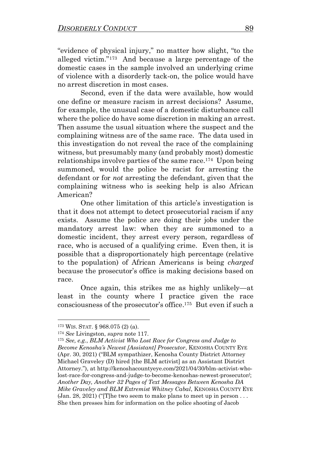"evidence of physical injury," no matter how slight, "to the alleged victim."<sup>173</sup> And because a large percentage of the domestic cases in the sample involved an underlying crime of violence with a disorderly tack-on, the police would have no arrest discretion in most cases.

Second, even if the data were available, how would one define or measure racism in arrest decisions? Assume, for example, the unusual case of a domestic disturbance call where the police do have some discretion in making an arrest. Then assume the usual situation where the suspect and the complaining witness are of the same race. The data used in this investigation do not reveal the race of the complaining witness, but presumably many (and probably most) domestic relationships involve parties of the same race.<sup>174</sup> Upon being summoned, would the police be racist for arresting the defendant or for *not* arresting the defendant, given that the complaining witness who is seeking help is also African American?

One other limitation of this article's investigation is that it does not attempt to detect prosecutorial racism if any exists. Assume the police are doing their jobs under the mandatory arrest law: when they are summoned to a domestic incident, they arrest every person, regardless of race, who is accused of a qualifying crime. Even then, it is possible that a disproportionately high percentage (relative to the population) of African Americans is being *charged* because the prosecutor's office is making decisions based on race.

Once again, this strikes me as highly unlikely—at least in the county where I practice given the race consciousness of the prosecutor's office. 175 But even if such a

<sup>173</sup> WIS. STAT. § 968.075 (2) (a).

<sup>174</sup> *See* Livingston, *supra* note [117.](#page-24-0) 

<sup>175</sup> *See, e.g.*, *BLM Activist Who Lost Race for Congress and Judge to Become Kenosha's Newest [Assistant] Prosecutor*, KENOSHA COUNTY EYE (Apr. 30, 2021) ("BLM sympathizer, Kenosha County District Attorney Michael Graveley (D) hired [the BLM activist] as an Assistant District Attorney."), at http://kenoshacountyeye.com/2021/04/30/blm-activist-wholost-race-for-congress-and-judge-to-become-kenoshas-newest-prosecutor/; *Another Day, Another 32 Pages of Text Messages Between Kenosha DA Mike Graveley and BLM Extremist Whitney Cabal*, KENOSHA COUNTY EYE  $(Jan. 28, 2021)$  ("The two seem to make plans to meet up in person... She then presses him for information on the police shooting of Jacob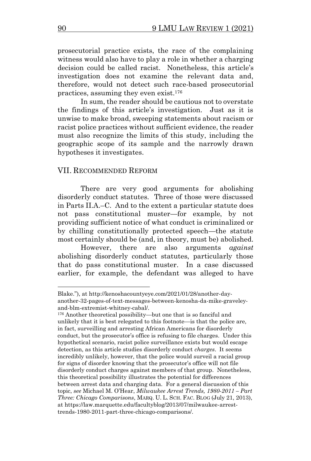prosecutorial practice exists, the race of the complaining witness would also have to play a role in whether a charging decision could be called racist. Nonetheless, this article's investigation does not examine the relevant data and, therefore, would not detect such race-based prosecutorial practices, assuming they even exist.<sup>176</sup>

In sum, the reader should be cautious not to overstate the findings of this article's investigation. Just as it is unwise to make broad, sweeping statements about racism or racist police practices without sufficient evidence, the reader must also recognize the limits of this study, including the geographic scope of its sample and the narrowly drawn hypotheses it investigates.

#### VII. RECOMMENDED REFORM

There are very good arguments for abolishing disorderly conduct statutes. Three of those were discussed in Parts II.A.–C. And to the extent a particular statute does not pass constitutional muster—for example, by not providing sufficient notice of what conduct is criminalized or by chilling constitutionally protected speech—the statute most certainly should be (and, in theory, must be) abolished.

However, there are also arguments *against* abolishing disorderly conduct statutes, particularly those that do pass constitutional muster. In a case discussed earlier, for example, the defendant was alleged to have

Blake."), at http://kenoshacountyeye.com/2021/01/28/another-dayanother-32-pages-of-text-messages-between-kenosha-da-mike-graveleyand-blm-extremist-whitney-cabal/.

<sup>176</sup> Another theoretical possibility—but one that is so fanciful and unlikely that it is best relegated to this footnote—is that the police are, in fact, surveilling and arresting African Americans for disorderly conduct, but the prosecutor's office is refusing to file charges. Under this hypothetical scenario, racist police surveillance exists but would escape detection, as this article studies disorderly conduct *charges*. It seems incredibly unlikely, however, that the police would surveil a racial group for signs of disorder knowing that the prosecutor's office will not file disorderly conduct charges against members of that group. Nonetheless, this theoretical possibility illustrates the potential for differences between arrest data and charging data. For a general discussion of this topic, *see* Michael M. O'Hear, *Milwaukee Arrest Trends, 1980-2011 – Part Three: Chicago Comparisons*, MARQ. U. L. SCH. FAC. BLOG (July 21, 2013), at https://law.marquette.edu/facultyblog/2013/07/milwaukee-arresttrends-1980-2011-part-three-chicago-comparisons/.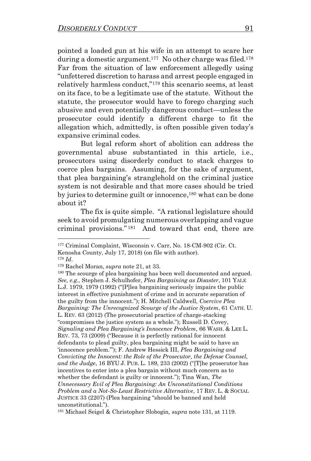pointed a loaded gun at his wife in an attempt to scare her during a domestic argument. 177 No other charge was filed.<sup>178</sup> Far from the situation of law enforcement allegedly using "unfettered discretion to harass and arrest people engaged in relatively harmless conduct,"<sup>179</sup> this scenario seems, at least on its face, to be a legitimate use of the statute. Without the statute, the prosecutor would have to forego charging such abusive and even potentially dangerous conduct—unless the prosecutor could identify a different charge to fit the allegation which, admittedly, is often possible given today's expansive criminal codes.

But legal reform short of abolition can address the governmental abuse substantiated in this article, i.e., prosecutors using disorderly conduct to stack charges to coerce plea bargains. Assuming, for the sake of argument, that plea bargaining's stranglehold on the criminal justice system is not desirable and that more cases should be tried by juries to determine guilt or innocence, <sup>180</sup> what can be done about it?

The fix is quite simple. "A rational legislature should seek to avoid promulgating numerous overlapping and vague criminal provisions." <sup>181</sup> And toward that end, there are

<sup>177</sup> Criminal Complaint, Wisconsin v. Carr, No. 18-CM-902 (Cir. Ct. Kenosha County, July 17, 2018) (on file with author).

<sup>178</sup> *Id*.

<sup>179</sup> Rachel Moran, *supra* not[e 21,](#page-2-0) at 33.

<sup>&</sup>lt;sup>180</sup> The scourge of plea bargaining has been well documented and argued. *See, e.g.,* Stephen J. Schulhofer, *Plea Bargaining as Disaster*, 101 YALE L.J. 1979, 1979 (1992) ("[P]lea bargaining seriously impairs the public interest in effective punishment of crime and in accurate separation of the guilty from the innocent."); H. Mitchell Caldwell, *Coercive Plea Bargaining: The Unrecognized Scourge of the Justice System*, 61 CATH. U. L. REV. 63 (2012) (The prosecutorial practice of charge-stacking "compromises the justice system as a whole."); Russell D. Covey, *Signaling and Plea Bargaining's Innocence Problem*, 66 WASH. & LEE L. REV. 73, 73 (2009) ("Because it is perfectly rational for innocent defendants to plead guilty, plea bargaining might be said to have an 'innocence problem.'"); F. Andrew Hessick III, *Plea Bargaining and Convicting the Innocent: the Role of the Prosecutor, the Defense Counsel, and the Judge*, 16 BYU J. PUB. L. 189, 233 (2002) ("[T]he prosecutor has incentives to enter into a plea bargain without much concern as to whether the defendant is guilty or innocent."); Tina Wan, *The Unnecessary Evil of Plea Bargaining: An Unconstitutional Conditions Problem and a Not-So-Least Restrictive Alternative*, 17 REV. L. & SOCIAL JUSTICE 33 (2207) (Plea bargaining "should be banned and held unconstitutional.").

<sup>181</sup> Michael Seigel & Christopher Slobogin*, supra* note [131,](#page-28-0) at 1119.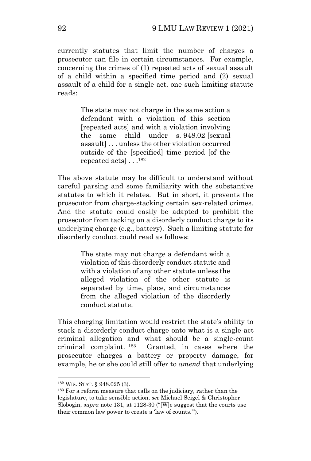currently statutes that limit the number of charges a prosecutor can file in certain circumstances. For example, concerning the crimes of (1) repeated acts of sexual assault of a child within a specified time period and (2) sexual assault of a child for a single act, one such limiting statute reads:

> The state may not charge in the same action a defendant with a violation of this section [repeated acts] and with a violation involving the same child under s. 948.02 [sexual assault] . . . unless the other violation occurred outside of the [specified] time period [of the repeated acts] . . .<sup>182</sup>

The above statute may be difficult to understand without careful parsing and some familiarity with the substantive statutes to which it relates. But in short, it prevents the prosecutor from charge-stacking certain sex-related crimes. And the statute could easily be adapted to prohibit the prosecutor from tacking on a disorderly conduct charge to its underlying charge (e.g., battery). Such a limiting statute for disorderly conduct could read as follows:

> The state may not charge a defendant with a violation of this disorderly conduct statute and with a violation of any other statute unless the alleged violation of the other statute is separated by time, place, and circumstances from the alleged violation of the disorderly conduct statute.

This charging limitation would restrict the state's ability to stack a disorderly conduct charge onto what is a single-act criminal allegation and what should be a single-count criminal complaint. <sup>183</sup> Granted, in cases where the prosecutor charges a battery or property damage, for example, he or she could still offer to *amend* that underlying

<sup>182</sup> WIS. STAT. § 948.025 (3).

<sup>183</sup> For a reform measure that calls on the judiciary, rather than the legislature, to take sensible action, *see* Michael Seigel & Christopher Slobogin, *supra* not[e 131,](#page-28-0) at 1128-30 ("[W]e suggest that the courts use their common law power to create a 'law of counts.'").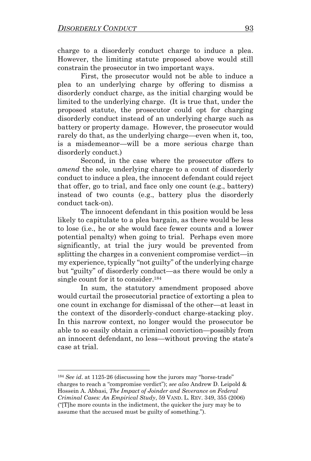charge to a disorderly conduct charge to induce a plea. However, the limiting statute proposed above would still constrain the prosecutor in two important ways.

First, the prosecutor would not be able to induce a plea to an underlying charge by offering to dismiss a disorderly conduct charge, as the initial charging would be limited to the underlying charge. (It is true that, under the proposed statute, the prosecutor could opt for charging disorderly conduct instead of an underlying charge such as battery or property damage. However, the prosecutor would rarely do that, as the underlying charge—even when it, too, is a misdemeanor—will be a more serious charge than disorderly conduct.)

Second, in the case where the prosecutor offers to *amend* the sole, underlying charge to a count of disorderly conduct to induce a plea, the innocent defendant could reject that offer, go to trial, and face only one count (e.g., battery) instead of two counts (e.g., battery plus the disorderly conduct tack-on).

The innocent defendant in this position would be less likely to capitulate to a plea bargain, as there would be less to lose (i.e., he or she would face fewer counts and a lower potential penalty) when going to trial. Perhaps even more significantly, at trial the jury would be prevented from splitting the charges in a convenient compromise verdict—in my experience, typically "not guilty" of the underlying charge but "guilty" of disorderly conduct—as there would be only a single count for it to consider.<sup>184</sup>

In sum, the statutory amendment proposed above would curtail the prosecutorial practice of extorting a plea to one count in exchange for dismissal of the other—at least in the context of the disorderly-conduct charge-stacking ploy. In this narrow context, no longer would the prosecutor be able to so easily obtain a criminal conviction—possibly from an innocent defendant, no less—without proving the state's case at trial.

<sup>184</sup> *See id*. at 1125-26 (discussing how the jurors may "horse-trade" charges to reach a "compromise verdict"); *see also* Andrew D. Leipold & Hossein A. Abbasi, *The Impact of Joinder and Severance on Federal Criminal Cases: An Empirical Study*, 59 VAND. L. REV. 349, 355 (2006) ("[T]he more counts in the indictment, the quicker the jury may be to assume that the accused must be guilty of something.").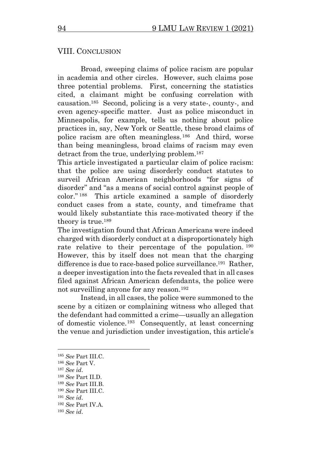#### VIII. CONCLUSION

Broad, sweeping claims of police racism are popular in academia and other circles. However, such claims pose three potential problems. First, concerning the statistics cited, a claimant might be confusing correlation with causation.<sup>185</sup> Second, policing is a very state-, county-, and even agency-specific matter. Just as police misconduct in Minneapolis, for example, tells us nothing about police practices in, say, New York or Seattle, these broad claims of police racism are often meaningless. <sup>186</sup> And third, worse than being meaningless, broad claims of racism may even detract from the true, underlying problem.<sup>187</sup>

This article investigated a particular claim of police racism: that the police are using disorderly conduct statutes to surveil African American neighborhoods "for signs of disorder" and "as a means of social control against people of color." <sup>188</sup> This article examined a sample of disorderly conduct cases from a state, county, and timeframe that would likely substantiate this race-motivated theory if the theory is true.<sup>189</sup>

The investigation found that African Americans were indeed charged with disorderly conduct at a disproportionately high rate relative to their percentage of the population.<sup>190</sup> However, this by itself does not mean that the charging difference is due to race-based police surveillance.<sup>191</sup> Rather, a deeper investigation into the facts revealed that in all cases filed against African American defendants, the police were not surveilling anyone for any reason.<sup>192</sup>

Instead, in all cases, the police were summoned to the scene by a citizen or complaining witness who alleged that the defendant had committed a crime—usually an allegation of domestic violence. 193 Consequently, at least concerning the venue and jurisdiction under investigation, this article's

<sup>185</sup> *See* Part III.C.

<sup>186</sup> *See* Part V.

<sup>187</sup> *See id*.

<sup>188</sup> *See* Part II.D.

<sup>189</sup> *See* Part III.B.

<sup>190</sup> *See* Part III.C.

<sup>191</sup> *See id*.

<sup>192</sup> *See* Part IV.A.

<sup>193</sup> *See id*.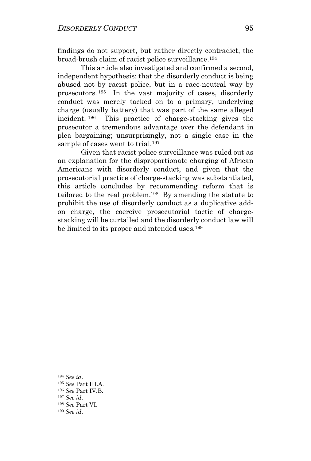findings do not support, but rather directly contradict, the broad-brush claim of racist police surveillance.<sup>194</sup>

This article also investigated and confirmed a second, independent hypothesis: that the disorderly conduct is being abused not by racist police, but in a race-neutral way by prosecutors. <sup>195</sup> In the vast majority of cases, disorderly conduct was merely tacked on to a primary, underlying charge (usually battery) that was part of the same alleged incident. <sup>196</sup> This practice of charge-stacking gives the prosecutor a tremendous advantage over the defendant in plea bargaining; unsurprisingly, not a single case in the sample of cases went to trial.<sup>197</sup>

 Given that racist police surveillance was ruled out as an explanation for the disproportionate charging of African Americans with disorderly conduct, and given that the prosecutorial practice of charge-stacking was substantiated, this article concludes by recommending reform that is tailored to the real problem.<sup>198</sup> By amending the statute to prohibit the use of disorderly conduct as a duplicative addon charge, the coercive prosecutorial tactic of chargestacking will be curtailed and the disorderly conduct law will be limited to its proper and intended uses. 199

<sup>194</sup> *See id*.

<sup>195</sup> *See* Part III.A.

<sup>196</sup> *See* Part IV.B.

<sup>197</sup> *See id*.

<sup>198</sup> *See* Part VI.

<sup>199</sup> *See id*.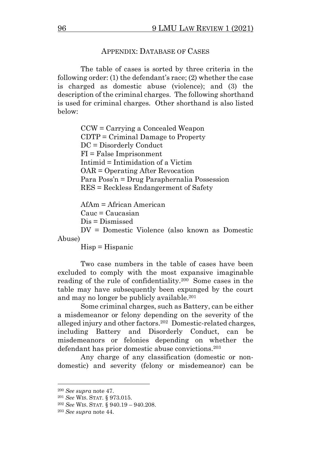## APPENDIX: DATABASE OF CASES

The table of cases is sorted by three criteria in the following order: (1) the defendant's race; (2) whether the case is charged as domestic abuse (violence); and (3) the description of the criminal charges. The following shorthand is used for criminal charges. Other shorthand is also listed below:

> CCW = Carrying a Concealed Weapon CDTP = Criminal Damage to Property DC = Disorderly Conduct FI = False Imprisonment Intimid = Intimidation of a Victim OAR = Operating After Revocation Para Poss'n = Drug Paraphernalia Possession RES = Reckless Endangerment of Safety

AfAm = African American  $C$ auc  $=$  Caucasian Dis = Dismissed DV = Domestic Violence (also known as Domestic

Abuse)

 $Hisp = Hispanic$ 

Two case numbers in the table of cases have been excluded to comply with the most expansive imaginable reading of the rule of confidentiality.<sup>200</sup> Some cases in the table may have subsequently been expunged by the court and may no longer be publicly available.<sup>201</sup>

Some criminal charges, such as Battery, can be either a misdemeanor or felony depending on the severity of the alleged injury and other factors.<sup>202</sup> Domestic-related charges, including Battery and Disorderly Conduct, can be misdemeanors or felonies depending on whether the defendant has prior domestic abuse convictions.<sup>203</sup>

Any charge of any classification (domestic or nondomestic) and severity (felony or misdemeanor) can be

<sup>200</sup> *See supra* note [47.](#page-7-0)

<sup>201</sup> *See* WIS. STAT. § 973.015.

<sup>202</sup> *See* WIS. STAT. § 940.19 – 940.208.

<sup>203</sup> *See supra* note [44.](#page-6-0)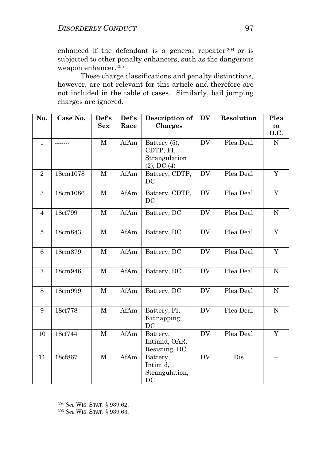enhanced if the defendant is a general repeater <sup>204</sup> or is subjected to other penalty enhancers, such as the dangerous weapon enhancer. 205

These charge classifications and penalty distinctions, however, are not relevant for this article and therefore are not included in the table of cases. Similarly, bail jumping charges are ignored.

| No.             | Case No. | Def's        | Def's | Description of                                                 | <b>DV</b> | Resolution | Plea                     |
|-----------------|----------|--------------|-------|----------------------------------------------------------------|-----------|------------|--------------------------|
|                 |          | <b>Sex</b>   | Race  | <b>Charges</b>                                                 |           |            | to<br>D.C.               |
| $\mathbf{1}$    |          | $\mathbf{M}$ | AfAm  | Battery (5),<br>CDTP, FI,<br>Strangulation<br>$(2)$ , DC $(4)$ | <b>DV</b> | Plea Deal  | N                        |
| $\sqrt{2}$      | 18cm1078 | $\mathbf M$  | AfAm  | Battery, CDTP,<br>DC                                           | <b>DV</b> | Plea Deal  | $\mathbf Y$              |
| 3               | 18cm1086 | М            | AfAm  | Battery, CDTP,<br>DC                                           | <b>DV</b> | Plea Deal  | Y                        |
| $\overline{4}$  | 18cf799  | $\mathbf M$  | AfAm  | Battery, DC                                                    | <b>DV</b> | Plea Deal  | ${\bf N}$                |
| $\overline{5}$  | 18cm843  | $\mathbf M$  | AfAm  | Battery, DC                                                    | <b>DV</b> | Plea Deal  | $\overline{Y}$           |
| $6\phantom{1}6$ | 18cm879  | $\mathbf M$  | AfAm  | Battery, DC                                                    | <b>DV</b> | Plea Deal  | Y                        |
| 7               | 18cm946  | $\mathbf M$  | AfAm  | Battery, DC                                                    | DV.       | Plea Deal  | ${\rm N}$                |
| 8               | 18cm999  | $\mathbf M$  | AfAm  | Battery, DC                                                    | <b>DV</b> | Plea Deal  | $\mathbf N$              |
| 9               | 18cf778  | $\mathbf{M}$ | AfAm  | Battery, FI,<br>Kidnapping,<br>DC                              | <b>DV</b> | Plea Deal  | ${\rm N}$                |
| 10              | 18cf744  | $\mathbf M$  | AfAm  | Battery,<br>Intimid, OAR,<br>Resisting, DC                     | <b>DV</b> | Plea Deal  | Y                        |
| 11              | 18cf867  | $\mathbf M$  | AfAm  | Battery,<br>Intimid,<br>Strangulation,<br>DC                   | <b>DV</b> | Dis        | $\overline{\phantom{a}}$ |

<sup>204</sup> *See* WIS. STAT. § 939.62.

<sup>205</sup> *See* WIS. STAT. § 939.63.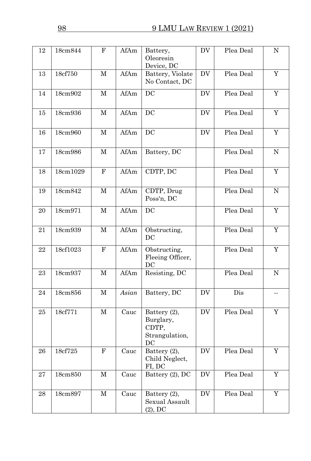| 12 | 18cm844   | F           | AfAm  | Battery,<br>Oleoresin<br>Device, DC                        | DV                  | Plea Deal | ${\rm N}$                |
|----|-----------|-------------|-------|------------------------------------------------------------|---------------------|-----------|--------------------------|
| 13 | 18cf750   | $\mathbf M$ | AfAm  | Battery, Violate<br>No Contact, DC                         | <b>DV</b>           | Plea Deal | $\mathbf Y$              |
| 14 | 18cm902   | $\mathbf M$ | AfAm  | DC                                                         | <b>DV</b>           | Plea Deal | Y                        |
| 15 | 18cm936   | M           | AfAm  | DC                                                         | DV                  | Plea Deal | $\mathbf Y$              |
| 16 | 18cm960   | $\mathbf M$ | AfAm  | DC                                                         | DV                  | Plea Deal | $\mathbf Y$              |
| 17 | 18cm986   | M           | AfAm  | Battery, DC                                                |                     | Plea Deal | ${\bf N}$                |
| 18 | 18cm1029  | $\mathbf F$ | AfAm  | CDTP, DC                                                   |                     | Plea Deal | $\mathbf Y$              |
| 19 | 18cm842   | $\mathbf M$ | AfAm  | CDTP, Drug<br>Poss'n, DC                                   |                     | Plea Deal | $\mathbf N$              |
| 20 | 18cm971   | $\mathbf M$ | AfAm  | DC                                                         |                     | Plea Deal | $\overline{Y}$           |
| 21 | 18cm939   | М           | AfAm  | Obstructing,<br>DC                                         |                     | Plea Deal | $\mathbf Y$              |
| 22 | 18cf1023  | $\mathbf F$ | AfAm  | Obstructing,<br>Fleeing Officer,<br>DC                     |                     | Plea Deal | Y                        |
| 23 | 18cm937   | $\mathbf M$ | AfAm  | Resisting, DC                                              |                     | Plea Deal | ${\bf N}$                |
| 24 | $18cm856$ | М           | Asian | Battery, DC                                                | DV                  | Dis       | $\overline{\phantom{a}}$ |
| 25 | 18cf771   | $\mathbf M$ | Cauc  | Battery (2),<br>Burglary,<br>CDTP,<br>Strangulation,<br>DC | DV                  | Plea Deal | $\mathbf Y$              |
| 26 | 18cf725   | $\mathbf F$ | Cauc  | Battery (2),<br>Child Neglect,<br>FI, DC                   | <b>DV</b>           | Plea Deal | $\mathbf Y$              |
| 27 | 18cm850   | $\mathbf M$ | Cauc  | Battery (2), DC                                            | <b>DV</b>           | Plea Deal | $\mathbf Y$              |
| 28 | 18cm897   | $\mathbf M$ | Cauc  | Battery (2),<br>Sexual Assault<br>(2), DC                  | $\operatorname{DV}$ | Plea Deal | $\mathbf Y$              |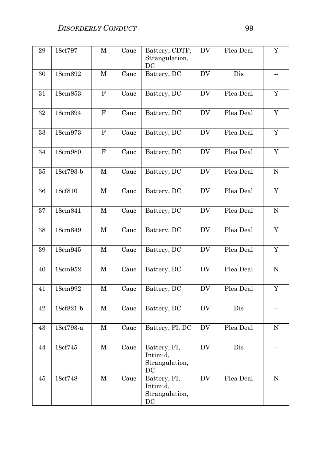| 29     | 18cf797   | $\mathbf M$  | Cauc | Battery, CDTP,<br>Strangulation,<br>DC                            | ${\rm DV}$             | Plea Deal | $\mathbf Y$    |
|--------|-----------|--------------|------|-------------------------------------------------------------------|------------------------|-----------|----------------|
| 30     | 18cm892   | $\mathbf M$  | Cauc | Battery, DC                                                       | $\mathbf{D}\mathbf{V}$ | Dis       | $\sim$ $\sim$  |
| 31     | 18cm853   | ${\bf F}$    | Cauc | Battery, DC                                                       | DV                     | Plea Deal | Y              |
| $32\,$ | 18cm894   | ${\bf F}$    | Cauc | Battery, DC                                                       | $\operatorname{DV}$    | Plea Deal | $\mathbf Y$    |
| 33     | 18cm973   | $\mathbf F$  | Cauc | Battery, DC                                                       | ${\rm DV}$             | Plea Deal | $\mathbf Y$    |
| $34\,$ | 18cm980   | ${\bf F}$    | Cauc | Battery, DC                                                       | $\mathbf{D}\mathbf{V}$ | Plea Deal | $\overline{Y}$ |
| 35     | 18cf793-b | $\mathbf{M}$ | Cauc | Battery, DC                                                       | <b>DV</b>              | Plea Deal | ${\bf N}$      |
| 36     | 18cf810   | $\mathbf M$  | Cauc | Battery, DC                                                       | <b>DV</b>              | Plea Deal | $\mathbf Y$    |
| 37     | 18cm841   | $\mathbf M$  | Cauc | Battery, DC                                                       | <b>DV</b>              | Plea Deal | $\mathbf N$    |
| 38     | 18cm849   | $\mathbf M$  | Cauc | Battery, DC                                                       | DV                     | Plea Deal | $\mathbf Y$    |
| 39     | 18cm945   | $\mathbf M$  | Cauc | Battery, DC                                                       | $\mathbf{D}\mathbf{V}$ | Plea Deal | $\mathbf Y$    |
| 40     | 18cm952   | $\mathbf M$  | Cauc | Battery, DC                                                       | $\mathbf{D}\mathbf{V}$ | Plea Deal | $\mathbf N$    |
| 41     | 18cm992   | $\mathbf M$  | Cauc | Battery, DC                                                       | DV                     | Plea Deal | $\mathbf Y$    |
| 42     | 18cf821-b | $\mathbf M$  | Cauc | Battery, DC                                                       | DV                     | Dis       | $\overline{a}$ |
| 43     | 18cf793-a | $\mathbf M$  | Cauc | Battery, FI, DC                                                   | <b>DV</b>              | Plea Deal | ${\bf N}$      |
| 44     | 18cf745   | $\mathbf M$  | Cauc | Battery, FI,<br>Intimid,<br>Strangulation,<br>DC                  | DV                     | Dis       | $-$            |
| 45     | 18cf748   | $\mathbf M$  | Cauc | Battery, FI,<br>Intimid,<br>Strangulation,<br>$\operatorname{DC}$ | DV                     | Plea Deal | ${\bf N}$      |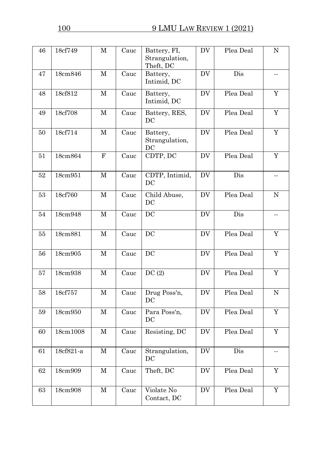| 46     | 18cf749   | $\mathbf M$  | Cauc | Battery, FI,<br>Strangulation,<br>Theft, DC | DV                     | Plea Deal | $\mathbf N$                |
|--------|-----------|--------------|------|---------------------------------------------|------------------------|-----------|----------------------------|
| 47     | 18cm846   | $\mathbf M$  | Cauc | Battery,<br>Intimid, DC                     | <b>DV</b>              | Dis       | $\overline{\phantom{a}}$ . |
| 48     | 18cf812   | М            | Cauc | Battery,<br>Intimid, DC                     | DV                     | Plea Deal | Y                          |
| 49     | 18cf708   | $\mathbf M$  | Cauc | Battery, RES,<br>DC                         | $\mathbf{D}\mathbf{V}$ | Plea Deal | $\mathbf Y$                |
| 50     | 18cf714   | $\mathbf M$  | Cauc | Battery,<br>Strangulation,<br>DC            | <b>DV</b>              | Plea Deal | $\mathbf Y$                |
| 51     | 18cm864   | ${\bf F}$    | Cauc | CDTP, DC                                    | <b>DV</b>              | Plea Deal | $\overline{Y}$             |
| 52     | 18cm951   | $\mathbf M$  | Cauc | CDTP, Intimid,<br>DC                        | DV                     | Dis       | μ.                         |
| 53     | 18cf760   | $\mathbf M$  | Cauc | Child Abuse,<br>DC                          | DV                     | Plea Deal | ${\bf N}$                  |
| 54     | 18cm948   | $\mathbf{M}$ | Cauc | $D\overline{C}$                             | $\mathbf{D}\mathbf{V}$ | Dis       | $\sim$ $-$                 |
| 55     | 18cm881   | $\mathbf M$  | Cauc | DC                                          | <b>DV</b>              | Plea Deal | $\mathbf Y$                |
| 56     | 18cm905   | $\mathbf M$  | Cauc | DC                                          | <b>DV</b>              | Plea Deal | $\mathbf Y$                |
| 57     | 18cm938   | $\mathbf M$  | Cauc | DC(2)                                       | <b>DV</b>              | Plea Deal | $\mathbf Y$                |
| 58     | 18cf757   | $\mathbf M$  | Cauc | Drug Poss'n,<br>DC                          | DV                     | Plea Deal | ${\bf N}$                  |
| 59     | 18cm950   | $\mathbf M$  | Cauc | Para Poss'n,<br>DC                          | $\mathbf{D}\mathbf{V}$ | Plea Deal | $\mathbf Y$                |
| 60     | 18cm1008  | М            | Cauc | Resisting, DC                               | DV                     | Plea Deal | Y                          |
| 61     | 18cf821-a | $\mathbf M$  | Cauc | Strangulation,<br>$_{\rm DC}$               | <b>DV</b>              | Dis       |                            |
| $62\,$ | 18cm909   | $\mathbf M$  | Cauc | Theft, DC                                   | $\operatorname{DV}$    | Plea Deal | $\mathbf Y$                |
| $63\,$ | 18cm908   | $\mathbf M$  | Cauc | Violate No<br>Contact, DC                   | $\operatorname{DV}$    | Plea Deal | $\mathbf Y$                |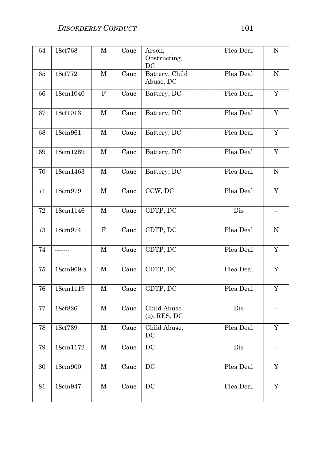| 64       | 18cf768   | $\mathbf M$ | Cauc | Arson,<br>Obstructing,<br>DC   | Plea Deal      | ${\bf N}$      |
|----------|-----------|-------------|------|--------------------------------|----------------|----------------|
| 65       | 18cf772   | $\mathbf M$ | Cauc | Battery, Child<br>Abuse, DC    | Plea Deal      | ${\bf N}$      |
| 66       | 18cm1040  | $\mathbf F$ | Cauc | Battery, DC                    | Plea Deal      | $\mathbf Y$    |
| 67       | 18cf1013  | $\mathbf M$ | Cauc | Battery, DC                    | Plea Deal      | $\mathbf Y$    |
| 68       | 18cm961   | $\mathbf M$ | Cauc | Battery, DC                    | Plea Deal      | $\mathbf Y$    |
| 69       | 18cm1289  | $\mathbf M$ | Cauc | Battery, DC                    | Plea Deal      | $\overline{Y}$ |
| 70       | 18cm1463  | $\mathbf M$ | Cauc | Battery, DC                    | Plea Deal      | $\mathbf N$    |
| 71       | 18cm979   | $\mathbf M$ | Cauc | CCW, DC                        | Plea Deal      | Y              |
| $\bf 72$ | 18cm1146  | $\mathbf M$ | Cauc | CDTP, DC                       | Dis            |                |
| 73       | 18cm974   | $\mathbf F$ | Cauc | CDTP, DC                       | Plea Deal      | ${\bf N}$      |
| 74       | $- - - -$ | $\mathbf M$ | Cauc | CDTP, DC                       | Plea Deal      | $\mathbf Y$    |
| 75       | 18cm969-a | $\mathbf M$ | Cauc | CDTP, DC                       | Plea Deal      | $\overline{Y}$ |
| 76       | 18cm1119  | $\mathbf M$ | Cauc | CDTP, DC                       | Plea Deal      | Y              |
| 77       | 18cf826   | $\mathbf M$ | Cauc | Child Abuse<br>$(2)$ , RES, DC | Dis            | $\overline{a}$ |
| 78       | 18cf739   | $\mathbf M$ | Cauc | Child Abuse,<br>$_{\rm DC}$    | Plea Deal      | $\mathbf Y$    |
| 79       | 18cm1172  | $\mathbf M$ | Cauc | DC                             | $\mathrm{Dis}$ | --             |
| 80       | 18cm900   | $\mathbf M$ | Cauc | DC                             | Plea Deal      | Y              |
| 81       | 18cm947   | $\mathbf M$ | Cauc | $DC$                           | Plea Deal      | $\mathbf Y$    |